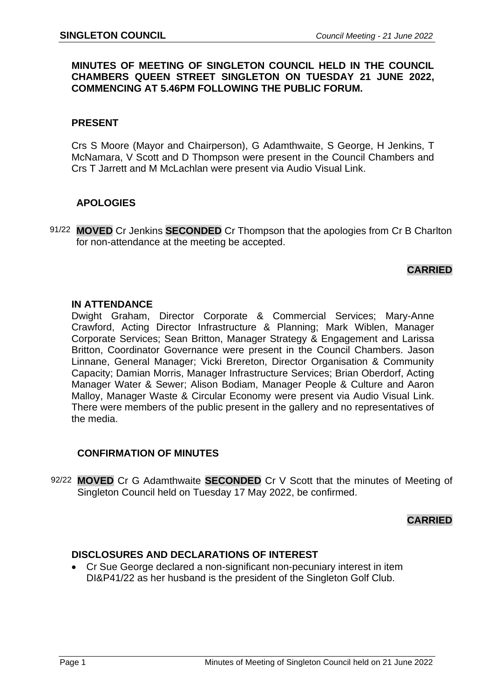## **MINUTES OF MEETING OF SINGLETON COUNCIL HELD IN THE COUNCIL CHAMBERS QUEEN STREET SINGLETON ON TUESDAY 21 JUNE 2022, COMMENCING AT 5.46PM FOLLOWING THE PUBLIC FORUM.**

## **PRESENT**

Crs S Moore (Mayor and Chairperson), G Adamthwaite, S George, H Jenkins, T McNamara, V Scott and D Thompson were present in the Council Chambers and Crs T Jarrett and M McLachlan were present via Audio Visual Link.

## **APOLOGIES**

91/22 **MOVED** Cr Jenkins **SECONDED** Cr Thompson that the apologies from Cr B Charlton for non-attendance at the meeting be accepted.

## **CARRIED**

## **IN ATTENDANCE**

Dwight Graham, Director Corporate & Commercial Services; Mary-Anne Crawford, Acting Director Infrastructure & Planning; Mark Wiblen, Manager Corporate Services; Sean Britton, Manager Strategy & Engagement and Larissa Britton, Coordinator Governance were present in the Council Chambers. Jason Linnane, General Manager; Vicki Brereton, Director Organisation & Community Capacity; Damian Morris, Manager Infrastructure Services; Brian Oberdorf, Acting Manager Water & Sewer; Alison Bodiam, Manager People & Culture and Aaron Malloy, Manager Waste & Circular Economy were present via Audio Visual Link. There were members of the public present in the gallery and no representatives of the media.

## **CONFIRMATION OF MINUTES**

92/22 **MOVED** Cr G Adamthwaite **SECONDED** Cr V Scott that the minutes of Meeting of Singleton Council held on Tuesday 17 May 2022, be confirmed.

## **CARRIED**

## **DISCLOSURES AND DECLARATIONS OF INTEREST**

• Cr Sue George declared a non-significant non-pecuniary interest in item DI&P41/22 as her husband is the president of the Singleton Golf Club.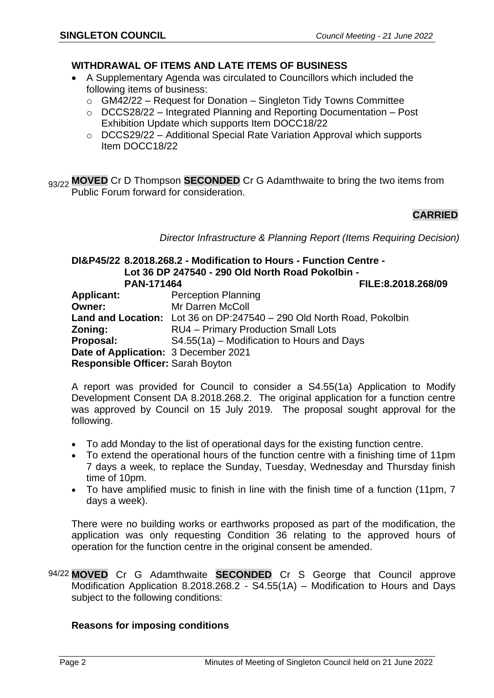## **WITHDRAWAL OF ITEMS AND LATE ITEMS OF BUSINESS**

- A Supplementary Agenda was circulated to Councillors which included the following items of business:
	- $\circ$  GM42/22 Request for Donation Singleton Tidy Towns Committee
	- o DCCS28/22 Integrated Planning and Reporting Documentation Post Exhibition Update which supports Item DOCC18/22
	- o DCCS29/22 Additional Special Rate Variation Approval which supports Item DOCC18/22

93/22 MOVED Cr D Thompson **SECONDED** Cr G Adamthwaite to bring the two items from Public Forum forward for consideration.

## **CARRIED**

*Director Infrastructure & Planning Report (Items Requiring Decision)*

#### **DI&P45/22 8.2018.268.2 - Modification to Hours - Function Centre - Lot 36 DP 247540 - 290 Old North Road Pokolbin - PAN-171464 FILE:8.2018.268/09**

|                                      | .                                                                     |
|--------------------------------------|-----------------------------------------------------------------------|
| <b>Applicant:</b>                    | <b>Perception Planning</b>                                            |
| <b>Owner:</b>                        | Mr Darren McColl                                                      |
|                                      | Land and Location: Lot 36 on DP:247540 - 290 Old North Road, Pokolbin |
| Zoning:                              | RU4 - Primary Production Small Lots                                   |
| Proposal:                            | S4.55(1a) – Modification to Hours and Days                            |
| Date of Application: 3 December 2021 |                                                                       |
| Responsible Officer: Sarah Boyton    |                                                                       |
|                                      |                                                                       |

A report was provided for Council to consider a S4.55(1a) Application to Modify Development Consent DA 8.2018.268.2. The original application for a function centre was approved by Council on 15 July 2019. The proposal sought approval for the following.

- To add Monday to the list of operational days for the existing function centre.
- To extend the operational hours of the function centre with a finishing time of 11pm 7 days a week, to replace the Sunday, Tuesday, Wednesday and Thursday finish time of 10pm.
- To have amplified music to finish in line with the finish time of a function (11pm, 7 days a week).

There were no building works or earthworks proposed as part of the modification, the application was only requesting Condition 36 relating to the approved hours of operation for the function centre in the original consent be amended.

94/22 **MOVED** Cr G Adamthwaite **SECONDED** Cr S George that Council approve Modification Application 8.2018.268.2 - S4.55(1A) – Modification to Hours and Days subject to the following conditions:

## **Reasons for imposing conditions**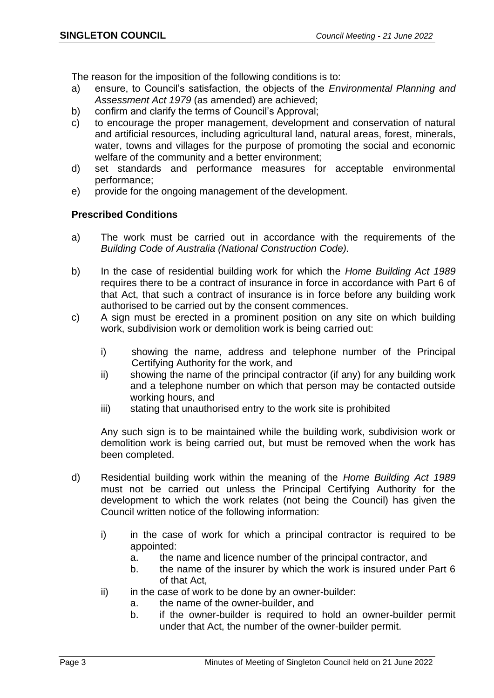The reason for the imposition of the following conditions is to:

- a) ensure, to Council's satisfaction, the objects of the *Environmental Planning and Assessment Act 1979* (as amended) are achieved;
- b) confirm and clarify the terms of Council's Approval;
- c) to encourage the proper management, development and conservation of natural and artificial resources, including agricultural land, natural areas, forest, minerals, water, towns and villages for the purpose of promoting the social and economic welfare of the community and a better environment;
- d) set standards and performance measures for acceptable environmental performance;
- e) provide for the ongoing management of the development.

## **Prescribed Conditions**

- a) The work must be carried out in accordance with the requirements of the *Building Code of Australia (National Construction Code).*
- b) In the case of residential building work for which the *Home Building Act 1989*  requires there to be a contract of insurance in force in accordance with Part 6 of that Act, that such a contract of insurance is in force before any building work authorised to be carried out by the consent commences.
- c) A sign must be erected in a prominent position on any site on which building work, subdivision work or demolition work is being carried out:
	- i) showing the name, address and telephone number of the Principal Certifying Authority for the work, and
	- ii) showing the name of the principal contractor (if any) for any building work and a telephone number on which that person may be contacted outside working hours, and
	- iii) stating that unauthorised entry to the work site is prohibited

Any such sign is to be maintained while the building work, subdivision work or demolition work is being carried out, but must be removed when the work has been completed.

- d) Residential building work within the meaning of the *Home Building Act 1989*  must not be carried out unless the Principal Certifying Authority for the development to which the work relates (not being the Council) has given the Council written notice of the following information:
	- i) in the case of work for which a principal contractor is required to be appointed:
		- a. the name and licence number of the principal contractor, and
		- b. the name of the insurer by which the work is insured under Part 6 of that Act,
	- $ii)$  in the case of work to be done by an owner-builder:
		- a. the name of the owner-builder, and
		- b. if the owner-builder is required to hold an owner-builder permit under that Act, the number of the owner-builder permit.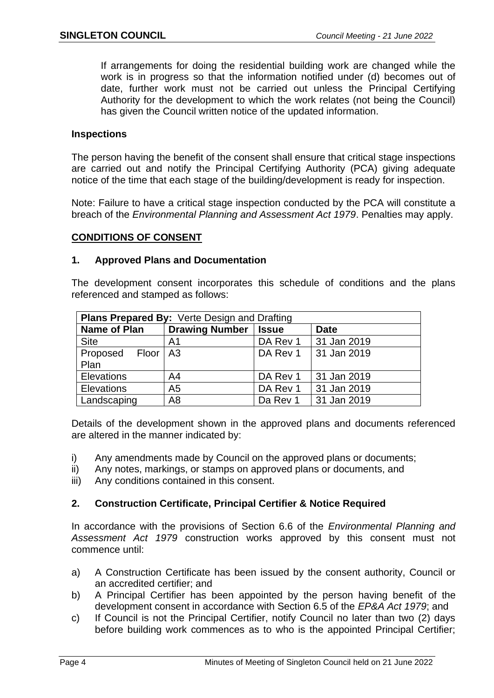If arrangements for doing the residential building work are changed while the work is in progress so that the information notified under (d) becomes out of date, further work must not be carried out unless the Principal Certifying Authority for the development to which the work relates (not being the Council) has given the Council written notice of the updated information.

## **Inspections**

The person having the benefit of the consent shall ensure that critical stage inspections are carried out and notify the Principal Certifying Authority (PCA) giving adequate notice of the time that each stage of the building/development is ready for inspection.

Note: Failure to have a critical stage inspection conducted by the PCA will constitute a breach of the *Environmental Planning and Assessment Act 1979*. Penalties may apply.

## **CONDITIONS OF CONSENT**

## **1. Approved Plans and Documentation**

The development consent incorporates this schedule of conditions and the plans referenced and stamped as follows:

| <b>Plans Prepared By: Verte Design and Drafting</b>   |                |          |             |  |
|-------------------------------------------------------|----------------|----------|-------------|--|
| Drawing Number   Issue<br>Name of Plan<br><b>Date</b> |                |          |             |  |
| <b>Site</b>                                           | A <sub>1</sub> | DA Rev 1 | 31 Jan 2019 |  |
| Proposed Floor   A3                                   |                | DA Rev 1 | 31 Jan 2019 |  |
| Plan                                                  |                |          |             |  |
| <b>Elevations</b>                                     | A4             | DA Rev 1 | 31 Jan 2019 |  |
| Elevations                                            | A5             | DA Rev 1 | 31 Jan 2019 |  |
| Landscaping                                           | A <sub>8</sub> | Da Rev 1 | 31 Jan 2019 |  |

Details of the development shown in the approved plans and documents referenced are altered in the manner indicated by:

- i) Any amendments made by Council on the approved plans or documents;
- ii) Any notes, markings, or stamps on approved plans or documents, and
- iii) Any conditions contained in this consent.

## **2. Construction Certificate, Principal Certifier & Notice Required**

In accordance with the provisions of Section 6.6 of the *Environmental Planning and Assessment Act 1979* construction works approved by this consent must not commence until:

- a) A Construction Certificate has been issued by the consent authority, Council or an accredited certifier; and
- b) A Principal Certifier has been appointed by the person having benefit of the development consent in accordance with Section 6.5 of the *EP&A Act 1979*; and
- c) If Council is not the Principal Certifier, notify Council no later than two (2) days before building work commences as to who is the appointed Principal Certifier;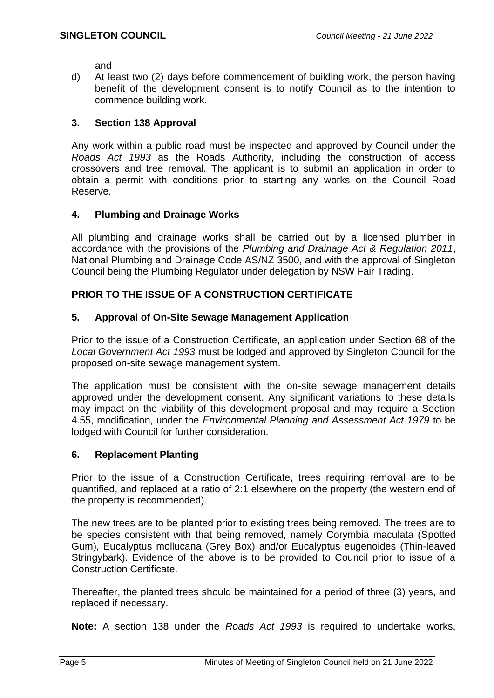and

d) At least two (2) days before commencement of building work, the person having benefit of the development consent is to notify Council as to the intention to commence building work.

## **3. Section 138 Approval**

Any work within a public road must be inspected and approved by Council under the *Roads Act 1993* as the Roads Authority, including the construction of access crossovers and tree removal. The applicant is to submit an application in order to obtain a permit with conditions prior to starting any works on the Council Road Reserve.

## **4. Plumbing and Drainage Works**

All plumbing and drainage works shall be carried out by a licensed plumber in accordance with the provisions of the *Plumbing and Drainage Act & Regulation 2011*, National Plumbing and Drainage Code AS/NZ 3500, and with the approval of Singleton Council being the Plumbing Regulator under delegation by NSW Fair Trading.

## **PRIOR TO THE ISSUE OF A CONSTRUCTION CERTIFICATE**

## **5. Approval of On-Site Sewage Management Application**

Prior to the issue of a Construction Certificate, an application under Section 68 of the *Local Government Act 1993* must be lodged and approved by Singleton Council for the proposed on-site sewage management system.

The application must be consistent with the on-site sewage management details approved under the development consent. Any significant variations to these details may impact on the viability of this development proposal and may require a Section 4.55, modification, under the *Environmental Planning and Assessment Act 1979* to be lodged with Council for further consideration.

## **6. Replacement Planting**

Prior to the issue of a Construction Certificate, trees requiring removal are to be quantified, and replaced at a ratio of 2:1 elsewhere on the property (the western end of the property is recommended).

The new trees are to be planted prior to existing trees being removed. The trees are to be species consistent with that being removed, namely Corymbia maculata (Spotted Gum), Eucalyptus mollucana (Grey Box) and/or Eucalyptus eugenoides (Thin-leaved Stringybark). Evidence of the above is to be provided to Council prior to issue of a Construction Certificate.

Thereafter, the planted trees should be maintained for a period of three (3) years, and replaced if necessary.

**Note:** A section 138 under the *Roads Act 1993* is required to undertake works,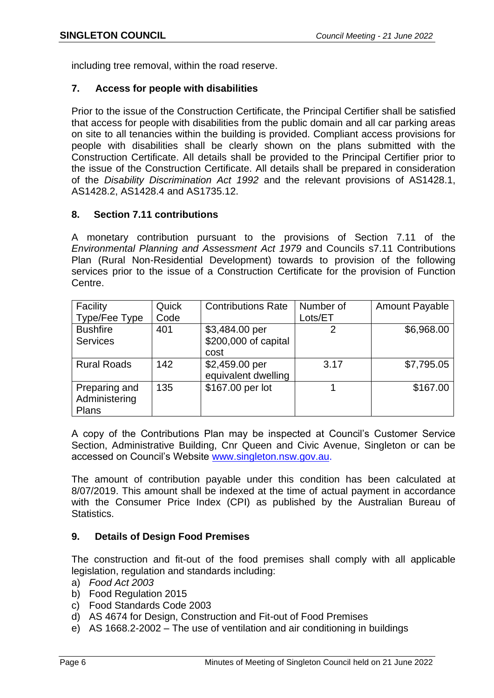including tree removal, within the road reserve.

## **7. Access for people with disabilities**

Prior to the issue of the Construction Certificate, the Principal Certifier shall be satisfied that access for people with disabilities from the public domain and all car parking areas on site to all tenancies within the building is provided. Compliant access provisions for people with disabilities shall be clearly shown on the plans submitted with the Construction Certificate. All details shall be provided to the Principal Certifier prior to the issue of the Construction Certificate. All details shall be prepared in consideration of the *Disability Discrimination Act 1992* and the relevant provisions of AS1428.1, AS1428.2, AS1428.4 and AS1735.12.

## **8. Section 7.11 contributions**

A monetary contribution pursuant to the provisions of Section 7.11 of the *Environmental Planning and Assessment Act 1979* and Councils s7.11 Contributions Plan (Rural Non-Residential Development) towards to provision of the following services prior to the issue of a Construction Certificate for the provision of Function Centre.

| Facility<br>Type/Fee Type               | Quick<br>Code | <b>Contributions Rate</b>                      | Number of<br>Lots/ET | <b>Amount Payable</b> |
|-----------------------------------------|---------------|------------------------------------------------|----------------------|-----------------------|
| <b>Bushfire</b><br><b>Services</b>      | 401           | \$3,484.00 per<br>\$200,000 of capital<br>cost |                      | \$6,968.00            |
| <b>Rural Roads</b>                      | 142           | \$2,459.00 per<br>equivalent dwelling          | 3.17                 | \$7,795.05            |
| Preparing and<br>Administering<br>Plans | 135           | \$167.00 per lot                               |                      | \$167.00              |

A copy of the Contributions Plan may be inspected at Council's Customer Service Section, Administrative Building, Cnr Queen and Civic Avenue, Singleton or can be accessed on Council's Website [www.singleton.nsw.gov.au.](http://www.singleton.nsw.gov.au/)

The amount of contribution payable under this condition has been calculated at 8/07/2019. This amount shall be indexed at the time of actual payment in accordance with the Consumer Price Index (CPI) as published by the Australian Bureau of Statistics.

## **9. Details of Design Food Premises**

The construction and fit-out of the food premises shall comply with all applicable legislation, regulation and standards including:

- a) *Food Act 2003*
- b) Food Regulation 2015
- c) Food Standards Code 2003
- d) AS 4674 for Design, Construction and Fit-out of Food Premises
- e) AS 1668.2-2002 The use of ventilation and air conditioning in buildings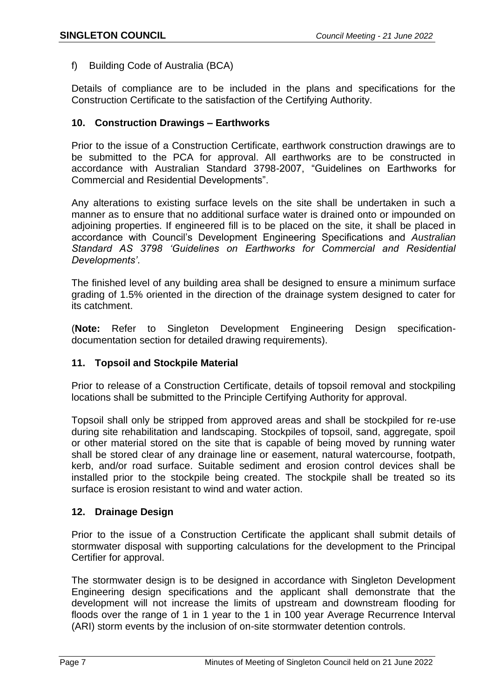f) Building Code of Australia (BCA)

Details of compliance are to be included in the plans and specifications for the Construction Certificate to the satisfaction of the Certifying Authority.

## **10. Construction Drawings – Earthworks**

Prior to the issue of a Construction Certificate, earthwork construction drawings are to be submitted to the PCA for approval. All earthworks are to be constructed in accordance with Australian Standard 3798-2007, "Guidelines on Earthworks for Commercial and Residential Developments".

Any alterations to existing surface levels on the site shall be undertaken in such a manner as to ensure that no additional surface water is drained onto or impounded on adjoining properties. If engineered fill is to be placed on the site, it shall be placed in accordance with Council's Development Engineering Specifications and *Australian Standard AS 3798 'Guidelines on Earthworks for Commercial and Residential Developments'*.

The finished level of any building area shall be designed to ensure a minimum surface grading of 1.5% oriented in the direction of the drainage system designed to cater for its catchment.

(**Note:** Refer to Singleton Development Engineering Design specificationdocumentation section for detailed drawing requirements).

## **11. Topsoil and Stockpile Material**

Prior to release of a Construction Certificate, details of topsoil removal and stockpiling locations shall be submitted to the Principle Certifying Authority for approval.

Topsoil shall only be stripped from approved areas and shall be stockpiled for re-use during site rehabilitation and landscaping. Stockpiles of topsoil, sand, aggregate, spoil or other material stored on the site that is capable of being moved by running water shall be stored clear of any drainage line or easement, natural watercourse, footpath, kerb, and/or road surface. Suitable sediment and erosion control devices shall be installed prior to the stockpile being created. The stockpile shall be treated so its surface is erosion resistant to wind and water action.

## **12. Drainage Design**

Prior to the issue of a Construction Certificate the applicant shall submit details of stormwater disposal with supporting calculations for the development to the Principal Certifier for approval.

The stormwater design is to be designed in accordance with Singleton Development Engineering design specifications and the applicant shall demonstrate that the development will not increase the limits of upstream and downstream flooding for floods over the range of 1 in 1 year to the 1 in 100 year Average Recurrence Interval (ARI) storm events by the inclusion of on-site stormwater detention controls.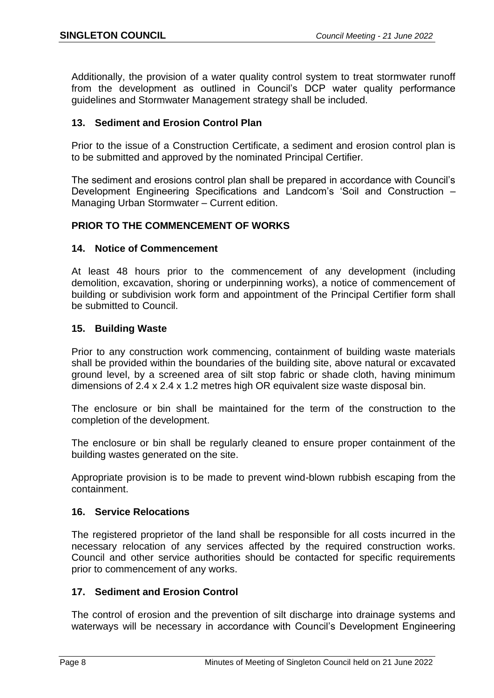Additionally, the provision of a water quality control system to treat stormwater runoff from the development as outlined in Council's DCP water quality performance guidelines and Stormwater Management strategy shall be included.

## **13. Sediment and Erosion Control Plan**

Prior to the issue of a Construction Certificate, a sediment and erosion control plan is to be submitted and approved by the nominated Principal Certifier*.* 

The sediment and erosions control plan shall be prepared in accordance with Council's Development Engineering Specifications and Landcom's 'Soil and Construction – Managing Urban Stormwater – Current edition.

## **PRIOR TO THE COMMENCEMENT OF WORKS**

## **14. Notice of Commencement**

At least 48 hours prior to the commencement of any development (including demolition, excavation, shoring or underpinning works), a notice of commencement of building or subdivision work form and appointment of the Principal Certifier form shall be submitted to Council.

## **15. Building Waste**

Prior to any construction work commencing, containment of building waste materials shall be provided within the boundaries of the building site, above natural or excavated ground level, by a screened area of silt stop fabric or shade cloth, having minimum dimensions of 2.4 x 2.4 x 1.2 metres high OR equivalent size waste disposal bin.

The enclosure or bin shall be maintained for the term of the construction to the completion of the development.

The enclosure or bin shall be regularly cleaned to ensure proper containment of the building wastes generated on the site.

Appropriate provision is to be made to prevent wind-blown rubbish escaping from the containment.

## **16. Service Relocations**

The registered proprietor of the land shall be responsible for all costs incurred in the necessary relocation of any services affected by the required construction works. Council and other service authorities should be contacted for specific requirements prior to commencement of any works.

## **17. Sediment and Erosion Control**

The control of erosion and the prevention of silt discharge into drainage systems and waterways will be necessary in accordance with Council's Development Engineering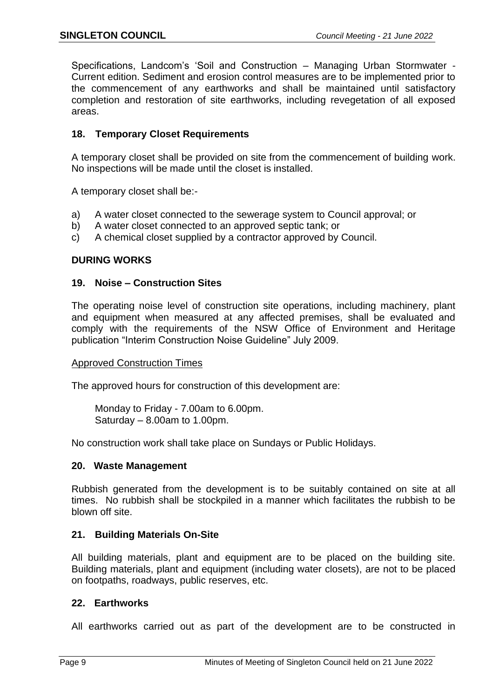Specifications, Landcom's 'Soil and Construction – Managing Urban Stormwater - Current edition. Sediment and erosion control measures are to be implemented prior to the commencement of any earthworks and shall be maintained until satisfactory completion and restoration of site earthworks, including revegetation of all exposed areas.

## **18. Temporary Closet Requirements**

A temporary closet shall be provided on site from the commencement of building work. No inspections will be made until the closet is installed.

A temporary closet shall be:-

- a) A water closet connected to the sewerage system to Council approval; or
- b) A water closet connected to an approved septic tank; or
- c) A chemical closet supplied by a contractor approved by Council.

## **DURING WORKS**

## **19. Noise – Construction Sites**

The operating noise level of construction site operations, including machinery, plant and equipment when measured at any affected premises, shall be evaluated and comply with the requirements of the NSW Office of Environment and Heritage publication "Interim Construction Noise Guideline" July 2009.

## Approved Construction Times

The approved hours for construction of this development are:

Monday to Friday - 7.00am to 6.00pm. Saturday – 8.00am to 1.00pm.

No construction work shall take place on Sundays or Public Holidays.

## **20. Waste Management**

Rubbish generated from the development is to be suitably contained on site at all times. No rubbish shall be stockpiled in a manner which facilitates the rubbish to be blown off site.

## **21. Building Materials On-Site**

All building materials, plant and equipment are to be placed on the building site. Building materials, plant and equipment (including water closets), are not to be placed on footpaths, roadways, public reserves, etc.

## **22. Earthworks**

All earthworks carried out as part of the development are to be constructed in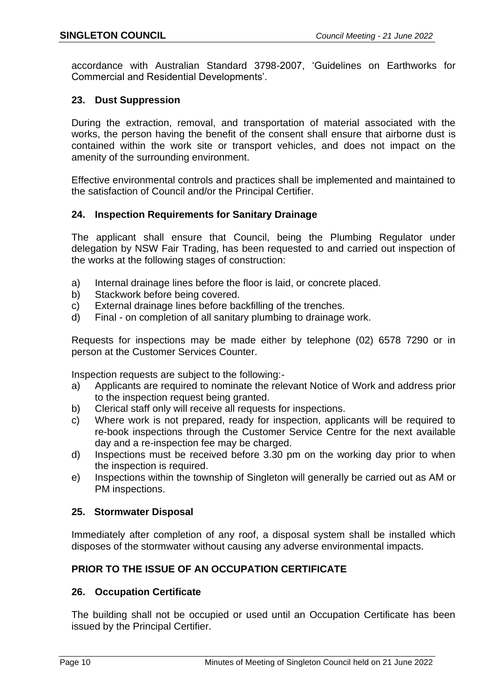accordance with Australian Standard 3798-2007, 'Guidelines on Earthworks for Commercial and Residential Developments'.

## **23. Dust Suppression**

During the extraction, removal, and transportation of material associated with the works, the person having the benefit of the consent shall ensure that airborne dust is contained within the work site or transport vehicles, and does not impact on the amenity of the surrounding environment.

Effective environmental controls and practices shall be implemented and maintained to the satisfaction of Council and/or the Principal Certifier.

## **24. Inspection Requirements for Sanitary Drainage**

The applicant shall ensure that Council, being the Plumbing Regulator under delegation by NSW Fair Trading, has been requested to and carried out inspection of the works at the following stages of construction:

- a) Internal drainage lines before the floor is laid, or concrete placed.
- b) Stackwork before being covered.
- c) External drainage lines before backfilling of the trenches.
- d) Final on completion of all sanitary plumbing to drainage work.

Requests for inspections may be made either by telephone (02) 6578 7290 or in person at the Customer Services Counter.

Inspection requests are subject to the following:-

- a) Applicants are required to nominate the relevant Notice of Work and address prior to the inspection request being granted.
- b) Clerical staff only will receive all requests for inspections.
- c) Where work is not prepared, ready for inspection, applicants will be required to re-book inspections through the Customer Service Centre for the next available day and a re-inspection fee may be charged.
- d) Inspections must be received before 3.30 pm on the working day prior to when the inspection is required.
- e) Inspections within the township of Singleton will generally be carried out as AM or PM inspections.

## **25. Stormwater Disposal**

Immediately after completion of any roof, a disposal system shall be installed which disposes of the stormwater without causing any adverse environmental impacts.

## **PRIOR TO THE ISSUE OF AN OCCUPATION CERTIFICATE**

## **26. Occupation Certificate**

The building shall not be occupied or used until an Occupation Certificate has been issued by the Principal Certifier.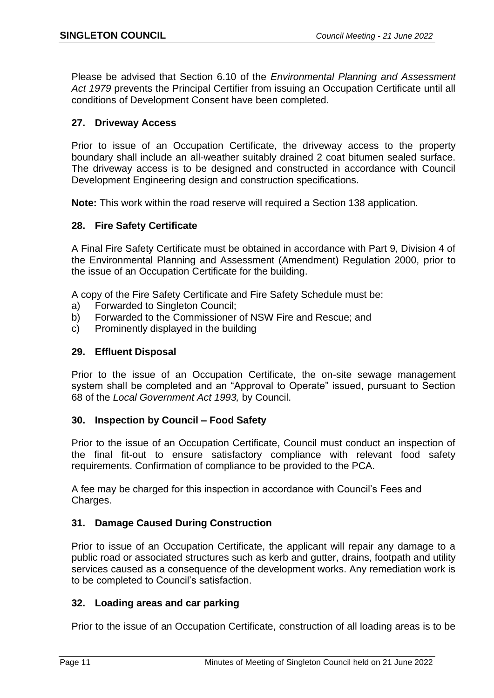Please be advised that Section 6.10 of the *Environmental Planning and Assessment Act 1979* prevents the Principal Certifier from issuing an Occupation Certificate until all conditions of Development Consent have been completed.

## **27. Driveway Access**

Prior to issue of an Occupation Certificate, the driveway access to the property boundary shall include an all-weather suitably drained 2 coat bitumen sealed surface. The driveway access is to be designed and constructed in accordance with Council Development Engineering design and construction specifications.

**Note:** This work within the road reserve will required a Section 138 application.

## **28. Fire Safety Certificate**

A Final Fire Safety Certificate must be obtained in accordance with Part 9, Division 4 of the Environmental Planning and Assessment (Amendment) Regulation 2000, prior to the issue of an Occupation Certificate for the building.

A copy of the Fire Safety Certificate and Fire Safety Schedule must be:

- a) Forwarded to Singleton Council;
- b) Forwarded to the Commissioner of NSW Fire and Rescue; and
- c) Prominently displayed in the building

## **29. Effluent Disposal**

Prior to the issue of an Occupation Certificate, the on-site sewage management system shall be completed and an "Approval to Operate" issued, pursuant to Section 68 of the *Local Government Act 1993,* by Council.

## **30. Inspection by Council – Food Safety**

Prior to the issue of an Occupation Certificate, Council must conduct an inspection of the final fit-out to ensure satisfactory compliance with relevant food safety requirements. Confirmation of compliance to be provided to the PCA.

A fee may be charged for this inspection in accordance with Council's Fees and Charges.

## **31. Damage Caused During Construction**

Prior to issue of an Occupation Certificate, the applicant will repair any damage to a public road or associated structures such as kerb and gutter, drains, footpath and utility services caused as a consequence of the development works. Any remediation work is to be completed to Council's satisfaction.

## **32. Loading areas and car parking**

Prior to the issue of an Occupation Certificate, construction of all loading areas is to be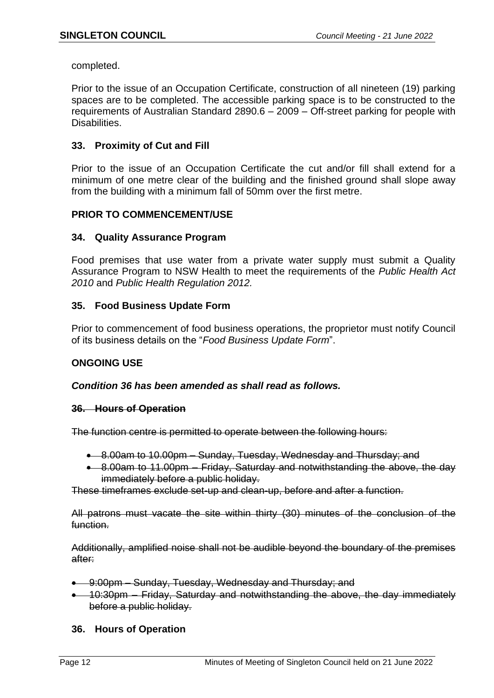completed.

Prior to the issue of an Occupation Certificate, construction of all nineteen (19) parking spaces are to be completed. The accessible parking space is to be constructed to the requirements of Australian Standard 2890.6 – 2009 – Off-street parking for people with Disabilities.

## **33. Proximity of Cut and Fill**

Prior to the issue of an Occupation Certificate the cut and/or fill shall extend for a minimum of one metre clear of the building and the finished ground shall slope away from the building with a minimum fall of 50mm over the first metre.

## **PRIOR TO COMMENCEMENT/USE**

## **34. Quality Assurance Program**

Food premises that use water from a private water supply must submit a Quality Assurance Program to NSW Health to meet the requirements of the *Public Health Act 2010* and *Public Health Regulation 2012.*

## **35. Food Business Update Form**

Prior to commencement of food business operations, the proprietor must notify Council of its business details on the "*Food Business Update Form*".

## **ONGOING USE**

## *Condition 36 has been amended as shall read as follows.*

## **36. Hours of Operation**

The function centre is permitted to operate between the following hours:

- 8.00am to 10.00pm Sunday, Tuesday, Wednesday and Thursday; and
- 8.00am to 11.00pm Friday, Saturday and notwithstanding the above, the day immediately before a public holiday.

These timeframes exclude set-up and clean-up, before and after a function.

All patrons must vacate the site within thirty (30) minutes of the conclusion of the function.

Additionally, amplified noise shall not be audible beyond the boundary of the premises after:

- 9:00pm Sunday, Tuesday, Wednesday and Thursday; and
- 10:30pm Friday, Saturday and notwithstanding the above, the day immediately before a public holiday.

## **36. Hours of Operation**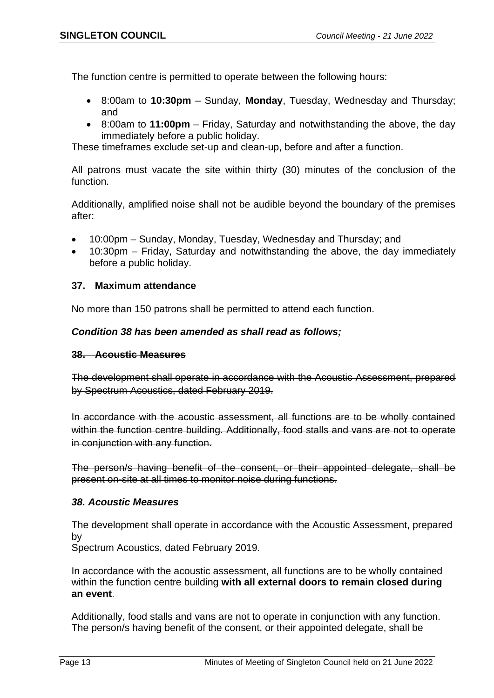The function centre is permitted to operate between the following hours:

- 8:00am to **10:30pm** Sunday, **Monday**, Tuesday, Wednesday and Thursday; and
- 8:00am to **11:00pm** Friday, Saturday and notwithstanding the above, the day immediately before a public holiday.

These timeframes exclude set-up and clean-up, before and after a function.

All patrons must vacate the site within thirty (30) minutes of the conclusion of the function.

Additionally, amplified noise shall not be audible beyond the boundary of the premises after:

- 10:00pm Sunday, Monday, Tuesday, Wednesday and Thursday; and
- 10:30pm Friday, Saturday and notwithstanding the above, the day immediately before a public holiday.

## **37. Maximum attendance**

No more than 150 patrons shall be permitted to attend each function.

## *Condition 38 has been amended as shall read as follows;*

## **38. Acoustic Measures**

The development shall operate in accordance with the Acoustic Assessment, prepared by Spectrum Acoustics, dated February 2019.

In accordance with the acoustic assessment, all functions are to be wholly contained within the function centre building. Additionally, food stalls and vans are not to operate in conjunction with any function.

The person/s having benefit of the consent, or their appointed delegate, shall be present on-site at all times to monitor noise during functions.

## *38. Acoustic Measures*

The development shall operate in accordance with the Acoustic Assessment, prepared by

Spectrum Acoustics, dated February 2019.

In accordance with the acoustic assessment, all functions are to be wholly contained within the function centre building **with all external doors to remain closed during an event**.

Additionally, food stalls and vans are not to operate in conjunction with any function. The person/s having benefit of the consent, or their appointed delegate, shall be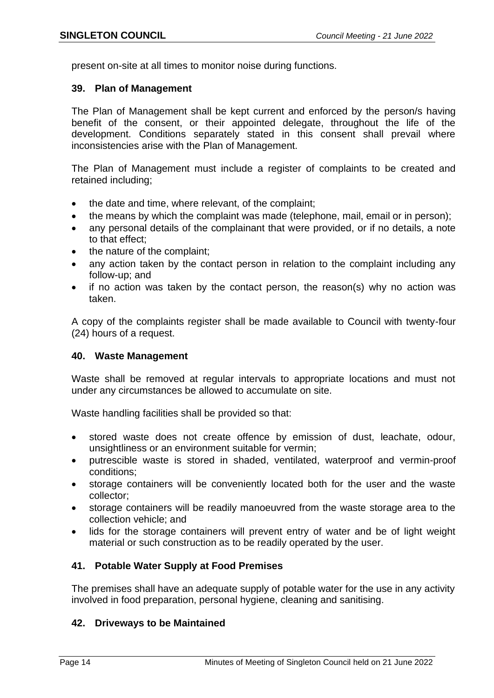present on-site at all times to monitor noise during functions.

## **39. Plan of Management**

The Plan of Management shall be kept current and enforced by the person/s having benefit of the consent, or their appointed delegate, throughout the life of the development. Conditions separately stated in this consent shall prevail where inconsistencies arise with the Plan of Management.

The Plan of Management must include a register of complaints to be created and retained including;

- the date and time, where relevant, of the complaint;
- the means by which the complaint was made (telephone, mail, email or in person);
- any personal details of the complainant that were provided, or if no details, a note to that effect;
- the nature of the complaint;
- any action taken by the contact person in relation to the complaint including any follow-up; and
- if no action was taken by the contact person, the reason(s) why no action was taken.

A copy of the complaints register shall be made available to Council with twenty-four (24) hours of a request.

#### **40. Waste Management**

Waste shall be removed at regular intervals to appropriate locations and must not under any circumstances be allowed to accumulate on site.

Waste handling facilities shall be provided so that:

- stored waste does not create offence by emission of dust, leachate, odour, unsightliness or an environment suitable for vermin;
- putrescible waste is stored in shaded, ventilated, waterproof and vermin-proof conditions;
- storage containers will be conveniently located both for the user and the waste collector;
- storage containers will be readily manoeuvred from the waste storage area to the collection vehicle; and
- lids for the storage containers will prevent entry of water and be of light weight material or such construction as to be readily operated by the user.

## **41. Potable Water Supply at Food Premises**

The premises shall have an adequate supply of potable water for the use in any activity involved in food preparation, personal hygiene, cleaning and sanitising.

## **42. Driveways to be Maintained**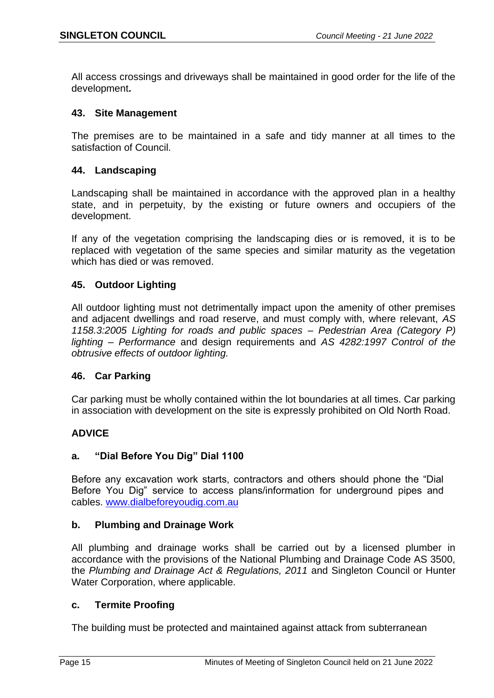All access crossings and driveways shall be maintained in good order for the life of the development**.**

## **43. Site Management**

The premises are to be maintained in a safe and tidy manner at all times to the satisfaction of Council.

## **44. Landscaping**

Landscaping shall be maintained in accordance with the approved plan in a healthy state, and in perpetuity, by the existing or future owners and occupiers of the development.

If any of the vegetation comprising the landscaping dies or is removed, it is to be replaced with vegetation of the same species and similar maturity as the vegetation which has died or was removed.

## **45. Outdoor Lighting**

All outdoor lighting must not detrimentally impact upon the amenity of other premises and adjacent dwellings and road reserve, and must comply with, where relevant, *AS 1158.3:2005 Lighting for roads and public spaces – Pedestrian Area (Category P) lighting – Performance* and design requirements and *AS 4282:1997 Control of the obtrusive effects of outdoor lighting.*

## **46. Car Parking**

Car parking must be wholly contained within the lot boundaries at all times. Car parking in association with development on the site is expressly prohibited on Old North Road.

## **ADVICE**

## **a. "Dial Before You Dig" Dial 1100**

Before any excavation work starts, contractors and others should phone the "Dial Before You Dig" service to access plans/information for underground pipes and cables. [www.dialbeforeyoudig.com.au](http://www.dialbeforeyoudig.com.au/)

## **b. Plumbing and Drainage Work**

All plumbing and drainage works shall be carried out by a licensed plumber in accordance with the provisions of the National Plumbing and Drainage Code AS 3500, the *Plumbing and Drainage Act & Regulations, 2011* and Singleton Council or Hunter Water Corporation, where applicable.

## **c. Termite Proofing**

The building must be protected and maintained against attack from subterranean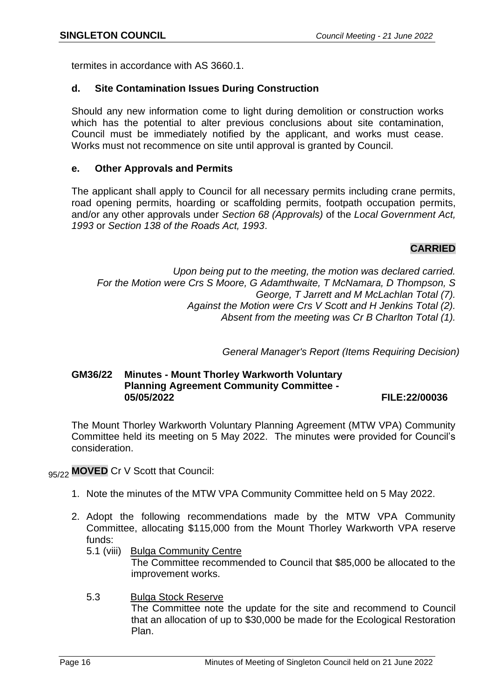termites in accordance with AS 3660.1.

#### **d. Site Contamination Issues During Construction**

Should any new information come to light during demolition or construction works which has the potential to alter previous conclusions about site contamination, Council must be immediately notified by the applicant, and works must cease. Works must not recommence on site until approval is granted by Council.

#### **e. Other Approvals and Permits**

The applicant shall apply to Council for all necessary permits including crane permits, road opening permits, hoarding or scaffolding permits, footpath occupation permits, and/or any other approvals under *Section 68 (Approvals)* of the *Local Government Act, 1993* or *Section 138 of the Roads Act, 1993*.

## **CARRIED**

*Upon being put to the meeting, the motion was declared carried. For the Motion were Crs S Moore, G Adamthwaite, T McNamara, D Thompson, S George, T Jarrett and M McLachlan Total (7). Against the Motion were Crs V Scott and H Jenkins Total (2). Absent from the meeting was Cr B Charlton Total (1).*

*General Manager's Report (Items Requiring Decision)*

# **GM36/22 Minutes - Mount Thorley Warkworth Voluntary Planning Agreement Community Committee -**

#### **05/05/2022 FILE:22/00036**

The Mount Thorley Warkworth Voluntary Planning Agreement (MTW VPA) Community Committee held its meeting on 5 May 2022. The minutes were provided for Council's consideration.

95/22 **MOVED** Cr V Scott that Council:

- 1. Note the minutes of the MTW VPA Community Committee held on 5 May 2022.
- 2. Adopt the following recommendations made by the MTW VPA Community Committee, allocating \$115,000 from the Mount Thorley Warkworth VPA reserve funds:
	- 5.1 (viii) Bulga Community Centre The Committee recommended to Council that \$85,000 be allocated to the improvement works.
	- 5.3 Bulga Stock Reserve The Committee note the update for the site and recommend to Council that an allocation of up to \$30,000 be made for the Ecological Restoration Plan.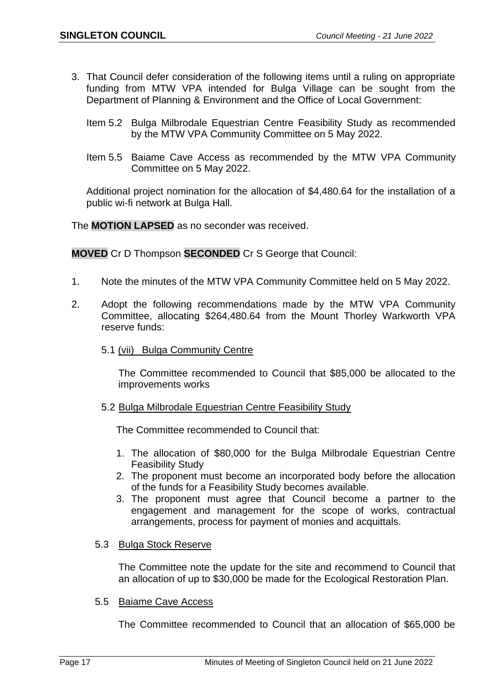- 3. That Council defer consideration of the following items until a ruling on appropriate funding from MTW VPA intended for Bulga Village can be sought from the Department of Planning & Environment and the Office of Local Government:
	- Item 5.2 Bulga Milbrodale Equestrian Centre Feasibility Study as recommended by the MTW VPA Community Committee on 5 May 2022.
	- Item 5.5 Baiame Cave Access as recommended by the MTW VPA Community Committee on 5 May 2022.

Additional project nomination for the allocation of \$4,480.64 for the installation of a public wi-fi network at Bulga Hall.

The **MOTION LAPSED** as no seconder was received.

**MOVED** Cr D Thompson **SECONDED** Cr S George that Council:

- 1. Note the minutes of the MTW VPA Community Committee held on 5 May 2022.
- 2. Adopt the following recommendations made by the MTW VPA Community Committee, allocating \$264,480.64 from the Mount Thorley Warkworth VPA reserve funds:
	- 5.1 (vii) Bulga Community Centre

The Committee recommended to Council that \$85,000 be allocated to the improvements works

5.2 Bulga Milbrodale Equestrian Centre Feasibility Study

The Committee recommended to Council that:

- 1. The allocation of \$80,000 for the Bulga Milbrodale Equestrian Centre Feasibility Study
- 2. The proponent must become an incorporated body before the allocation of the funds for a Feasibility Study becomes available.
- 3. The proponent must agree that Council become a partner to the engagement and management for the scope of works, contractual arrangements, process for payment of monies and acquittals.
- 5.3 Bulga Stock Reserve

The Committee note the update for the site and recommend to Council that an allocation of up to \$30,000 be made for the Ecological Restoration Plan.

5.5 Baiame Cave Access

The Committee recommended to Council that an allocation of \$65,000 be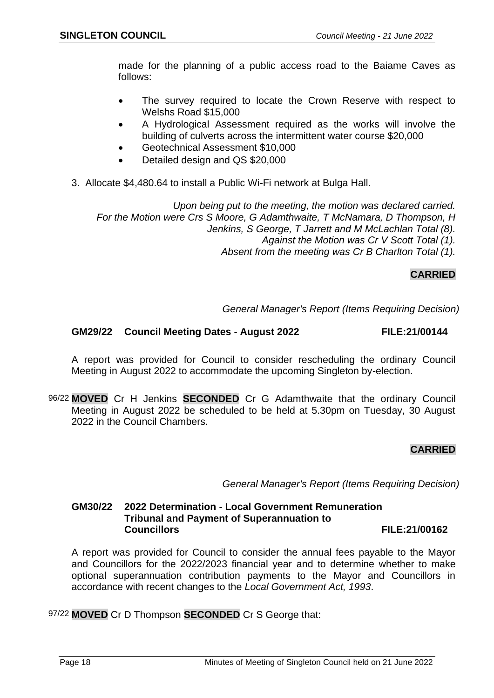made for the planning of a public access road to the Baiame Caves as follows:

- The survey required to locate the Crown Reserve with respect to Welshs Road \$15,000
- A Hydrological Assessment required as the works will involve the building of culverts across the intermittent water course \$20,000
- Geotechnical Assessment \$10,000
- Detailed design and QS \$20,000
- 3. Allocate \$4,480.64 to install a Public Wi-Fi network at Bulga Hall.

*Upon being put to the meeting, the motion was declared carried. For the Motion were Crs S Moore, G Adamthwaite, T McNamara, D Thompson, H Jenkins, S George, T Jarrett and M McLachlan Total (8). Against the Motion was Cr V Scott Total (1). Absent from the meeting was Cr B Charlton Total (1).*

## **CARRIED**

*General Manager's Report (Items Requiring Decision)*

#### **GM29/22 Council Meeting Dates - August 2022 FILE:21/00144**

A report was provided for Council to consider rescheduling the ordinary Council Meeting in August 2022 to accommodate the upcoming Singleton by-election.

96/22 **MOVED** Cr H Jenkins **SECONDED** Cr G Adamthwaite that the ordinary Council Meeting in August 2022 be scheduled to be held at 5.30pm on Tuesday, 30 August 2022 in the Council Chambers.

## **CARRIED**

*General Manager's Report (Items Requiring Decision)*

## **GM30/22 2022 Determination - Local Government Remuneration Tribunal and Payment of Superannuation to Councillors FILE:21/00162**

A report was provided for Council to consider the annual fees payable to the Mayor and Councillors for the 2022/2023 financial year and to determine whether to make optional superannuation contribution payments to the Mayor and Councillors in accordance with recent changes to the *Local Government Act, 1993*.

97/22 **MOVED** Cr D Thompson **SECONDED** Cr S George that: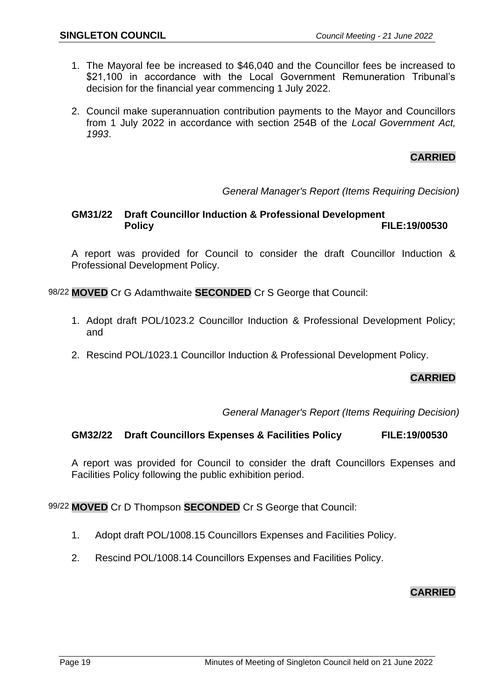- 1. The Mayoral fee be increased to \$46,040 and the Councillor fees be increased to \$21,100 in accordance with the Local Government Remuneration Tribunal's decision for the financial year commencing 1 July 2022.
- 2. Council make superannuation contribution payments to the Mayor and Councillors from 1 July 2022 in accordance with section 254B of the *Local Government Act, 1993*.

## **CARRIED**

## *General Manager's Report (Items Requiring Decision)*

## **GM31/22 Draft Councillor Induction & Professional Development Policy FILE:19/00530**

A report was provided for Council to consider the draft Councillor Induction & Professional Development Policy.

98/22 **MOVED** Cr G Adamthwaite **SECONDED** Cr S George that Council:

- 1. Adopt draft POL/1023.2 Councillor Induction & Professional Development Policy; and
- 2. Rescind POL/1023.1 Councillor Induction & Professional Development Policy.

## **CARRIED**

*General Manager's Report (Items Requiring Decision)*

#### **GM32/22 Draft Councillors Expenses & Facilities Policy FILE:19/00530**

A report was provided for Council to consider the draft Councillors Expenses and Facilities Policy following the public exhibition period.

99/22 **MOVED** Cr D Thompson **SECONDED** Cr S George that Council:

- 1. Adopt draft POL/1008.15 Councillors Expenses and Facilities Policy.
- 2. Rescind POL/1008.14 Councillors Expenses and Facilities Policy.

## **CARRIED**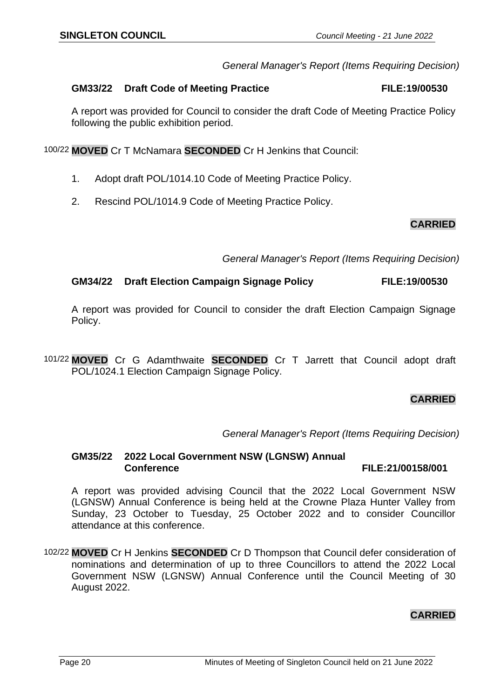## **CARRIED**

*General Manager's Report (Items Requiring Decision)*

#### **GM33/22 Draft Code of Meeting Practice FILE:19/00530**

A report was provided for Council to consider the draft Code of Meeting Practice Policy following the public exhibition period.

100/22 **MOVED** Cr T McNamara **SECONDED** Cr H Jenkins that Council:

- 1. Adopt draft POL/1014.10 Code of Meeting Practice Policy.
- 2. Rescind POL/1014.9 Code of Meeting Practice Policy.

## **CARRIED**

*General Manager's Report (Items Requiring Decision)*

## **GM34/22 Draft Election Campaign Signage Policy FILE:19/00530**

A report was provided for Council to consider the draft Election Campaign Signage Policy.

101/22 **MOVED** Cr G Adamthwaite **SECONDED** Cr T Jarrett that Council adopt draft POL/1024.1 Election Campaign Signage Policy.

## **CARRIED**

*General Manager's Report (Items Requiring Decision)*

**GM35/22 2022 Local Government NSW (LGNSW) Annual Conference FILE:21/00158/001**

A report was provided advising Council that the 2022 Local Government NSW (LGNSW) Annual Conference is being held at the Crowne Plaza Hunter Valley from Sunday, 23 October to Tuesday, 25 October 2022 and to consider Councillor attendance at this conference.

102/22 **MOVED** Cr H Jenkins **SECONDED** Cr D Thompson that Council defer consideration of nominations and determination of up to three Councillors to attend the 2022 Local Government NSW (LGNSW) Annual Conference until the Council Meeting of 30 August 2022.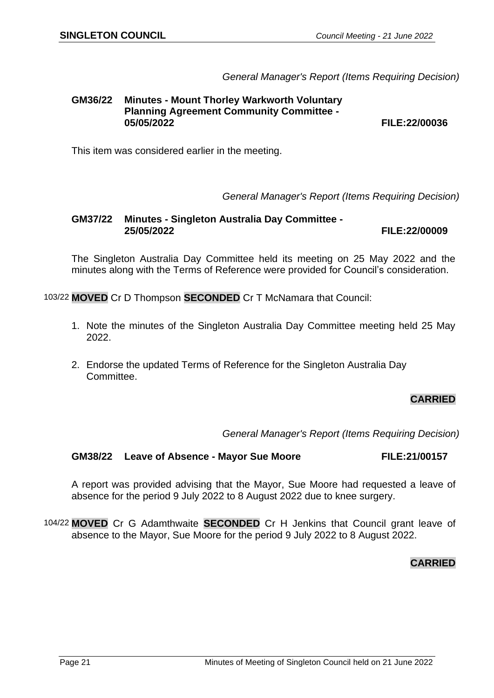*General Manager's Report (Items Requiring Decision)*

# **GM36/22 Minutes - Mount Thorley Warkworth Voluntary Planning Agreement Community Committee -**

**05/05/2022 FILE:22/00036**

This item was considered earlier in the meeting.

*General Manager's Report (Items Requiring Decision)*

**GM37/22 Minutes - Singleton Australia Day Committee - 25/05/2022 FILE:22/00009**

The Singleton Australia Day Committee held its meeting on 25 May 2022 and the minutes along with the Terms of Reference were provided for Council's consideration.

103/22 **MOVED** Cr D Thompson **SECONDED** Cr T McNamara that Council:

- 1. Note the minutes of the Singleton Australia Day Committee meeting held 25 May 2022.
- 2. Endorse the updated Terms of Reference for the Singleton Australia Day Committee.

## **CARRIED**

*General Manager's Report (Items Requiring Decision)*

#### **GM38/22 Leave of Absence - Mayor Sue Moore FILE:21/00157**

A report was provided advising that the Mayor, Sue Moore had requested a leave of absence for the period 9 July 2022 to 8 August 2022 due to knee surgery.

104/22 **MOVED** Cr G Adamthwaite **SECONDED** Cr H Jenkins that Council grant leave of absence to the Mayor, Sue Moore for the period 9 July 2022 to 8 August 2022.

## **CARRIED**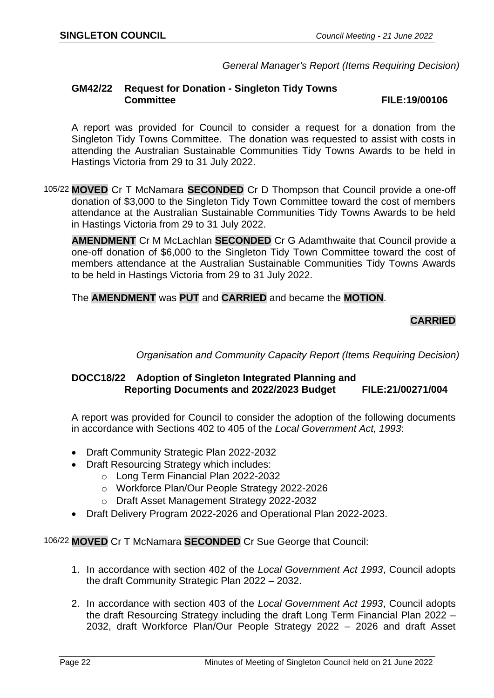*General Manager's Report (Items Requiring Decision)*

#### **GM42/22 Request for Donation - Singleton Tidy Towns Committee FILE:19/00106**

A report was provided for Council to consider a request for a donation from the Singleton Tidy Towns Committee. The donation was requested to assist with costs in attending the Australian Sustainable Communities Tidy Towns Awards to be held in Hastings Victoria from 29 to 31 July 2022.

105/22 **MOVED** Cr T McNamara **SECONDED** Cr D Thompson that Council provide a one-off donation of \$3,000 to the Singleton Tidy Town Committee toward the cost of members attendance at the Australian Sustainable Communities Tidy Towns Awards to be held in Hastings Victoria from 29 to 31 July 2022.

**AMENDMENT** Cr M McLachlan **SECONDED** Cr G Adamthwaite that Council provide a one-off donation of \$6,000 to the Singleton Tidy Town Committee toward the cost of members attendance at the Australian Sustainable Communities Tidy Towns Awards to be held in Hastings Victoria from 29 to 31 July 2022.

The **AMENDMENT** was **PUT** and **CARRIED** and became the **MOTION**.

## **CARRIED**

*Organisation and Community Capacity Report (Items Requiring Decision)*

## **DOCC18/22 Adoption of Singleton Integrated Planning and Reporting Documents and 2022/2023 Budget FILE:21/00271/004**

A report was provided for Council to consider the adoption of the following documents in accordance with Sections 402 to 405 of the *Local Government Act, 1993*:

- Draft Community Strategic Plan 2022-2032
- Draft Resourcing Strategy which includes:
	- o Long Term Financial Plan 2022-2032
		- o Workforce Plan/Our People Strategy 2022-2026
		- o Draft Asset Management Strategy 2022-2032
- Draft Delivery Program 2022-2026 and Operational Plan 2022-2023.

106/22 **MOVED** Cr T McNamara **SECONDED** Cr Sue George that Council:

- 1. In accordance with section 402 of the *Local Government Act 1993*, Council adopts the draft Community Strategic Plan 2022 – 2032.
- 2. In accordance with section 403 of the *Local Government Act 1993*, Council adopts the draft Resourcing Strategy including the draft Long Term Financial Plan 2022 – 2032, draft Workforce Plan/Our People Strategy 2022 – 2026 and draft Asset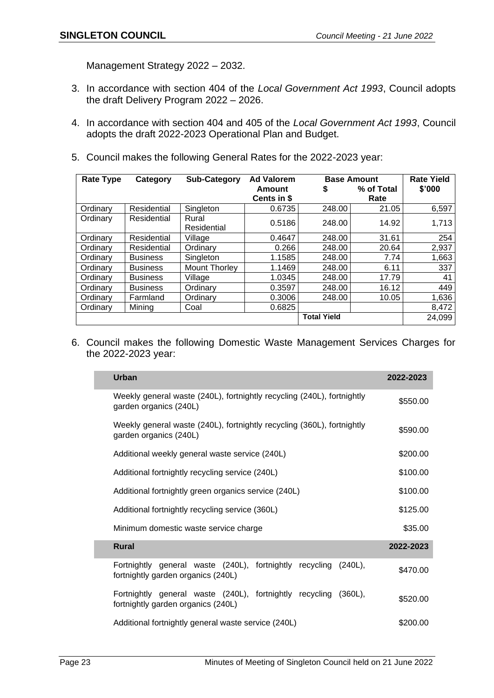Management Strategy 2022 – 2032.

- 3. In accordance with section 404 of the *Local Government Act 1993*, Council adopts the draft Delivery Program 2022 – 2026.
- 4. In accordance with section 404 and 405 of the *Local Government Act 1993*, Council adopts the draft 2022-2023 Operational Plan and Budget.
- 5. Council makes the following General Rates for the 2022-2023 year:

| <b>Rate Type</b> | Category        | <b>Sub-Category</b>  | <b>Ad Valorem</b>  |                    | <b>Base Amount</b> | <b>Rate Yield</b> |
|------------------|-----------------|----------------------|--------------------|--------------------|--------------------|-------------------|
|                  |                 |                      | Amount             | P                  | % of Total         | \$'000            |
|                  |                 |                      | <b>Cents in \$</b> |                    | Rate               |                   |
| Ordinary         | Residential     | Singleton            | 0.6735             | 248.00             | 21.05              | 6,597             |
| Ordinary         | Residential     | Rural<br>Residential | 0.5186             | 248.00             | 14.92              | 1,713             |
| Ordinary         | Residential     | Village              | 0.4647             | 248.00             | 31.61              | 254               |
| Ordinary         | Residential     | Ordinary             | 0.266              | 248.00             | 20.64              | 2,937             |
| Ordinary         | <b>Business</b> | Singleton            | 1.1585             | 248.00             | 7.74               | .663              |
| Ordinary         | <b>Business</b> | <b>Mount Thorley</b> | 1.1469             | 248.00             | 6.11               | 337               |
| Ordinary         | <b>Business</b> | Village              | 1.0345             | 248.00             | 17.79              | 41                |
| Ordinary         | <b>Business</b> | Ordinary             | 0.3597             | 248.00             | 16.12              | 449               |
| Ordinary         | Farmland        | Ordinary             | 0.3006             | 248.00             | 10.05              | 1,636             |
| Ordinary         | Mining          | Coal                 | 0.6825             |                    |                    | 8,472             |
|                  |                 |                      |                    | <b>Total Yield</b> |                    | 24,099            |

6. Council makes the following Domestic Waste Management Services Charges for the 2022-2023 year:

| Urban                                                                                                       | 2022-2023 |
|-------------------------------------------------------------------------------------------------------------|-----------|
| Weekly general waste (240L), fortnightly recycling (240L), fortnightly<br>garden organics (240L)            | \$550.00  |
| Weekly general waste (240L), fortnightly recycling (360L), fortnightly<br>garden organics (240L)            | \$590.00  |
| Additional weekly general waste service (240L)                                                              | \$200.00  |
| Additional fortnightly recycling service (240L)                                                             | \$100.00  |
| Additional fortnightly green organics service (240L)                                                        | \$100.00  |
| Additional fortnightly recycling service (360L)                                                             | \$125.00  |
| Minimum domestic waste service charge                                                                       | \$35.00   |
| <b>Rural</b>                                                                                                | 2022-2023 |
| Fortnightly general waste (240L),<br>fortnightly recycling (240L),<br>fortnightly garden organics (240L)    | \$470.00  |
| Fortnightly general waste (240L), fortnightly recycling<br>$(360L)$ ,<br>fortnightly garden organics (240L) | \$520.00  |
| Additional fortnightly general waste service (240L)                                                         | \$200.00  |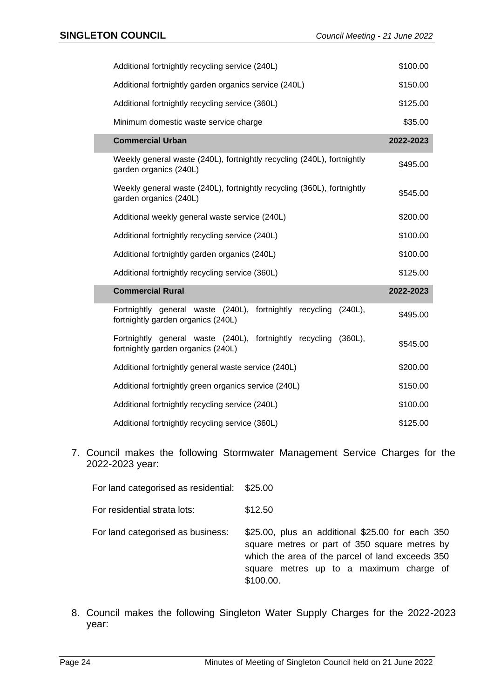| Additional fortnightly recycling service (240L)                                                                   | \$100.00  |
|-------------------------------------------------------------------------------------------------------------------|-----------|
| Additional fortnightly garden organics service (240L)                                                             | \$150.00  |
| Additional fortnightly recycling service (360L)                                                                   | \$125.00  |
| Minimum domestic waste service charge                                                                             | \$35.00   |
| <b>Commercial Urban</b>                                                                                           | 2022-2023 |
| Weekly general waste (240L), fortnightly recycling (240L), fortnightly<br>garden organics (240L)                  | \$495.00  |
| Weekly general waste (240L), fortnightly recycling (360L), fortnightly<br>garden organics (240L)                  | \$545.00  |
| Additional weekly general waste service (240L)                                                                    | \$200.00  |
| Additional fortnightly recycling service (240L)                                                                   | \$100.00  |
| Additional fortnightly garden organics (240L)                                                                     | \$100.00  |
| Additional fortnightly recycling service (360L)                                                                   | \$125.00  |
| <b>Commercial Rural</b>                                                                                           | 2022-2023 |
| Fortnightly general waste (240L),<br>fortnightly<br>recycling<br>$(240L)$ ,<br>fortnightly garden organics (240L) | \$495.00  |
| Fortnightly general waste (240L), fortnightly recycling<br>$(360L)$ ,<br>fortnightly garden organics (240L)       | \$545.00  |
| Additional fortnightly general waste service (240L)                                                               | \$200.00  |
| Additional fortnightly green organics service (240L)                                                              | \$150.00  |
| Additional fortnightly recycling service (240L)                                                                   | \$100.00  |
| Additional fortnightly recycling service (360L)                                                                   | \$125.00  |

7. Council makes the following Stormwater Management Service Charges for the 2022-2023 year:

For land categorised as residential: \$25.00

For residential strata lots: \$12.50

For land categorised as business: \$25.00, plus an additional \$25.00 for each 350 square metres or part of 350 square metres by which the area of the parcel of land exceeds 350 square metres up to a maximum charge of \$100.00.

8. Council makes the following Singleton Water Supply Charges for the 2022-2023 year: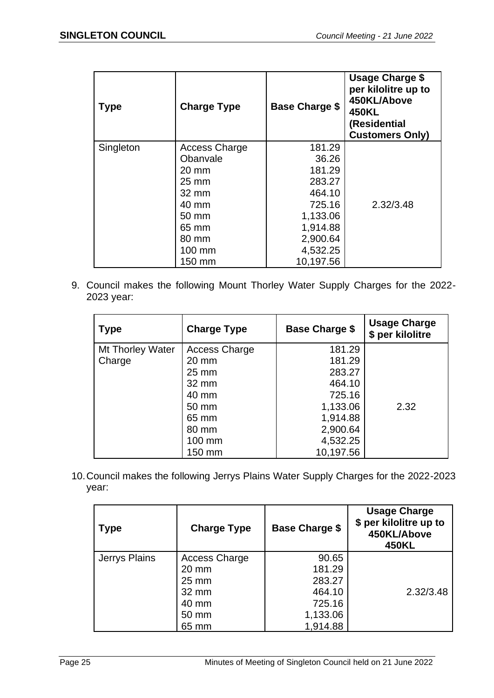| <b>Type</b> | <b>Charge Type</b>   | <b>Base Charge \$</b> | <b>Usage Charge \$</b><br>per kilolitre up to<br>450KL/Above<br><b>450KL</b><br>(Residential<br><b>Customers Only)</b> |
|-------------|----------------------|-----------------------|------------------------------------------------------------------------------------------------------------------------|
| Singleton   | <b>Access Charge</b> | 181.29                |                                                                                                                        |
|             | Obanvale             | 36.26                 |                                                                                                                        |
|             | $20 \text{ mm}$      | 181.29                |                                                                                                                        |
|             | $25 \, \text{mm}$    | 283.27                |                                                                                                                        |
|             | $32 \text{ mm}$      | 464.10                |                                                                                                                        |
|             | 40 mm                | 725.16                | 2.32/3.48                                                                                                              |
|             | 50 mm                | 1,133.06              |                                                                                                                        |
|             | 65 mm                | 1,914.88              |                                                                                                                        |
|             | 80 mm                | 2,900.64              |                                                                                                                        |
|             | 100 mm               | 4,532.25              |                                                                                                                        |
|             | 150 mm               | 10,197.56             |                                                                                                                        |

9. Council makes the following Mount Thorley Water Supply Charges for the 2022- 2023 year:

| <b>Type</b>      | <b>Charge Type</b>   | <b>Base Charge \$</b> | <b>Usage Charge</b><br>\$ per kilolitre |
|------------------|----------------------|-----------------------|-----------------------------------------|
| Mt Thorley Water | <b>Access Charge</b> | 181.29                |                                         |
| Charge           | $20 \text{ mm}$      | 181.29                |                                         |
|                  | $25 \, \text{mm}$    | 283.27                |                                         |
|                  | 32 mm                | 464.10                |                                         |
|                  | 40 mm                | 725.16                |                                         |
|                  | 50 mm                | 1,133.06              | 2.32                                    |
|                  | 65 mm                | 1,914.88              |                                         |
|                  | 80 mm                | 2,900.64              |                                         |
|                  | 100 mm               | 4,532.25              |                                         |
|                  | 150 mm               | 10,197.56             |                                         |

10.Council makes the following Jerrys Plains Water Supply Charges for the 2022-2023 year:

| <b>Type</b>   | <b>Charge Type</b>   | <b>Base Charge \$</b> | <b>Usage Charge</b><br>\$ per kilolitre up to<br>450KL/Above<br><b>450KL</b> |
|---------------|----------------------|-----------------------|------------------------------------------------------------------------------|
| Jerrys Plains | <b>Access Charge</b> | 90.65                 |                                                                              |
|               | $20 \text{ mm}$      | 181.29                |                                                                              |
|               | $25 \text{ mm}$      | 283.27                |                                                                              |
|               | 32 mm                | 464.10                | 2.32/3.48                                                                    |
|               | 40 mm                | 725.16                |                                                                              |
|               | 50 mm                | 1,133.06              |                                                                              |
|               | 65 mm                | 1,914.88              |                                                                              |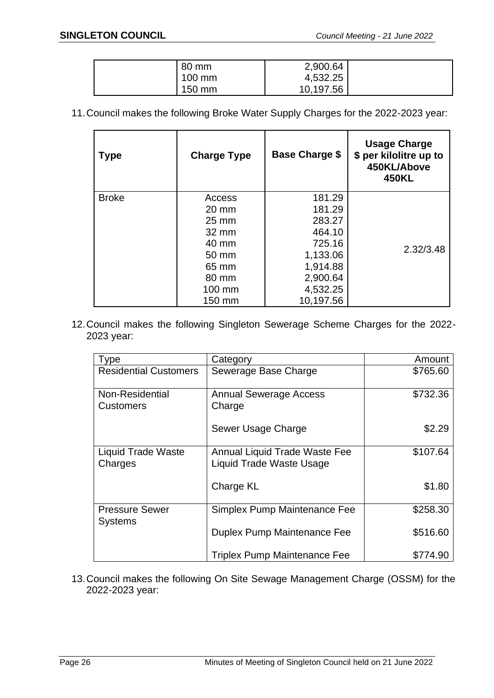| 80 mm  | 2,900.64  |  |
|--------|-----------|--|
| 100 mm | 4,532.25  |  |
| 150 mm | 10,197.56 |  |

11.Council makes the following Broke Water Supply Charges for the 2022-2023 year:

| <b>Type</b>  | <b>Charge Type</b> | <b>Base Charge \$</b> | <b>Usage Charge</b><br>\$ per kilolitre up to<br>450KL/Above<br><b>450KL</b> |
|--------------|--------------------|-----------------------|------------------------------------------------------------------------------|
| <b>Broke</b> | Access             | 181.29                |                                                                              |
|              | $20 \text{ mm}$    | 181.29                |                                                                              |
|              | $25 \text{ mm}$    | 283.27                |                                                                              |
|              | $32 \text{ mm}$    | 464.10                |                                                                              |
|              | 40 mm              | 725.16                | 2.32/3.48                                                                    |
|              | 50 mm              | 1,133.06              |                                                                              |
|              | 65 mm              | 1,914.88              |                                                                              |
|              | 80 mm              | 2,900.64              |                                                                              |
|              | 100 mm             | 4,532.25              |                                                                              |
|              | 150 mm             | 10,197.56             |                                                                              |

12.Council makes the following Singleton Sewerage Scheme Charges for the 2022- 2023 year:

| <b>Type</b>                             | Category                                                         | Amount   |
|-----------------------------------------|------------------------------------------------------------------|----------|
| <b>Residential Customers</b>            | Sewerage Base Charge                                             | \$765.60 |
| Non-Residential<br><b>Customers</b>     | <b>Annual Sewerage Access</b><br>Charge                          | \$732.36 |
|                                         | Sewer Usage Charge                                               | \$2.29   |
| <b>Liquid Trade Waste</b><br>Charges    | <b>Annual Liquid Trade Waste Fee</b><br>Liquid Trade Waste Usage | \$107.64 |
|                                         | Charge KL                                                        | \$1.80   |
| <b>Pressure Sewer</b><br><b>Systems</b> | Simplex Pump Maintenance Fee                                     | \$258.30 |
|                                         | Duplex Pump Maintenance Fee                                      | \$516.60 |
|                                         | <b>Triplex Pump Maintenance Fee</b>                              | \$774.90 |

13.Council makes the following On Site Sewage Management Charge (OSSM) for the 2022-2023 year: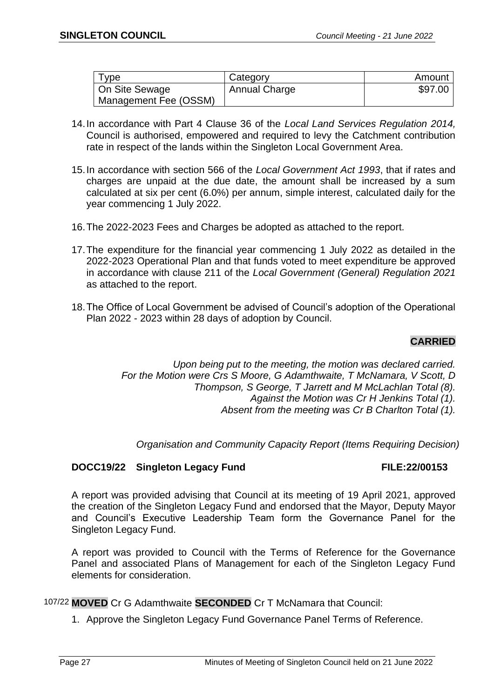| ype                   | Category             | Amount  |
|-----------------------|----------------------|---------|
| On Site Sewage        | <b>Annual Charge</b> | \$97.00 |
| Management Fee (OSSM) |                      |         |

- 14.In accordance with Part 4 Clause 36 of the *Local Land Services Regulation 2014,* Council is authorised, empowered and required to levy the Catchment contribution rate in respect of the lands within the Singleton Local Government Area.
- 15.In accordance with section 566 of the *Local Government Act 1993*, that if rates and charges are unpaid at the due date, the amount shall be increased by a sum calculated at six per cent (6.0%) per annum, simple interest, calculated daily for the year commencing 1 July 2022.
- 16.The 2022-2023 Fees and Charges be adopted as attached to the report.
- 17.The expenditure for the financial year commencing 1 July 2022 as detailed in the 2022-2023 Operational Plan and that funds voted to meet expenditure be approved in accordance with clause 211 of the *Local Government (General) Regulation 2021* as attached to the report.
- 18.The Office of Local Government be advised of Council's adoption of the Operational Plan 2022 - 2023 within 28 days of adoption by Council.

## **CARRIED**

*Upon being put to the meeting, the motion was declared carried. For the Motion were Crs S Moore, G Adamthwaite, T McNamara, V Scott, D Thompson, S George, T Jarrett and M McLachlan Total (8). Against the Motion was Cr H Jenkins Total (1). Absent from the meeting was Cr B Charlton Total (1).*

*Organisation and Community Capacity Report (Items Requiring Decision)*

## **DOCC19/22 Singleton Legacy Fund FILE:22/00153**

A report was provided advising that Council at its meeting of 19 April 2021, approved the creation of the Singleton Legacy Fund and endorsed that the Mayor, Deputy Mayor and Council's Executive Leadership Team form the Governance Panel for the Singleton Legacy Fund.

A report was provided to Council with the Terms of Reference for the Governance Panel and associated Plans of Management for each of the Singleton Legacy Fund elements for consideration.

107/22 **MOVED** Cr G Adamthwaite **SECONDED** Cr T McNamara that Council:

1. Approve the Singleton Legacy Fund Governance Panel Terms of Reference.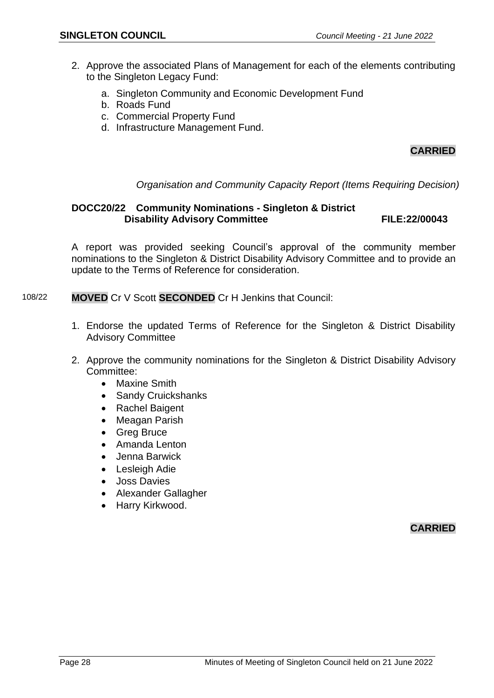- 2. Approve the associated Plans of Management for each of the elements contributing to the Singleton Legacy Fund:
	- a. Singleton Community and Economic Development Fund
	- b. Roads Fund
	- c. Commercial Property Fund
	- d. Infrastructure Management Fund.

## **CARRIED**

*Organisation and Community Capacity Report (Items Requiring Decision)*

## **DOCC20/22 Community Nominations - Singleton & District Disability Advisory Committee FILE:22/00043**

A report was provided seeking Council's approval of the community member nominations to the Singleton & District Disability Advisory Committee and to provide an update to the Terms of Reference for consideration.

- 108/22 **MOVED** Cr V Scott **SECONDED** Cr H Jenkins that Council:
	- 1. Endorse the updated Terms of Reference for the Singleton & District Disability Advisory Committee
	- 2. Approve the community nominations for the Singleton & District Disability Advisory Committee:
		- Maxine Smith
		- Sandy Cruickshanks
		- Rachel Baigent
		- Meagan Parish
		- Greg Bruce
		- Amanda Lenton
		- Jenna Barwick
		- Lesleigh Adie
		- Joss Davies
		- Alexander Gallagher
		- Harry Kirkwood.

**CARRIED**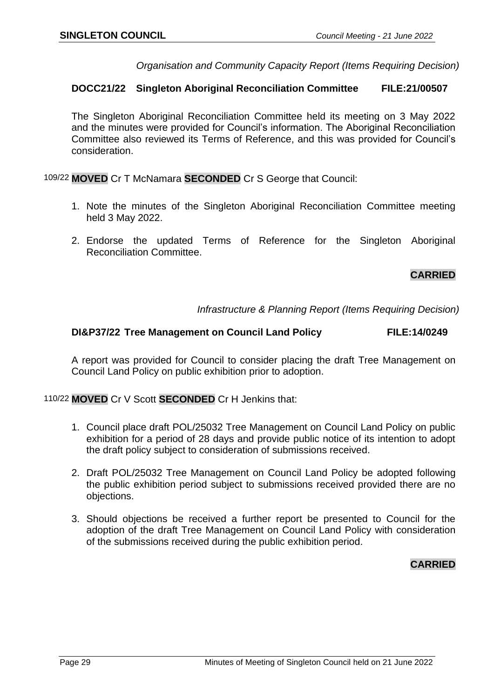*Organisation and Community Capacity Report (Items Requiring Decision)*

#### **DOCC21/22 Singleton Aboriginal Reconciliation Committee FILE:21/00507**

The Singleton Aboriginal Reconciliation Committee held its meeting on 3 May 2022 and the minutes were provided for Council's information. The Aboriginal Reconciliation Committee also reviewed its Terms of Reference, and this was provided for Council's consideration.

109/22 **MOVED** Cr T McNamara **SECONDED** Cr S George that Council:

- 1. Note the minutes of the Singleton Aboriginal Reconciliation Committee meeting held 3 May 2022.
- 2. Endorse the updated Terms of Reference for the Singleton Aboriginal Reconciliation Committee.

## **CARRIED**

*Infrastructure & Planning Report (Items Requiring Decision)*

#### **DI&P37/22 Tree Management on Council Land Policy FILE:14/0249**

A report was provided for Council to consider placing the draft Tree Management on Council Land Policy on public exhibition prior to adoption.

110/22 **MOVED** Cr V Scott **SECONDED** Cr H Jenkins that:

- 1. Council place draft POL/25032 Tree Management on Council Land Policy on public exhibition for a period of 28 days and provide public notice of its intention to adopt the draft policy subject to consideration of submissions received.
- 2. Draft POL/25032 Tree Management on Council Land Policy be adopted following the public exhibition period subject to submissions received provided there are no objections.
- 3. Should objections be received a further report be presented to Council for the adoption of the draft Tree Management on Council Land Policy with consideration of the submissions received during the public exhibition period.

## **CARRIED**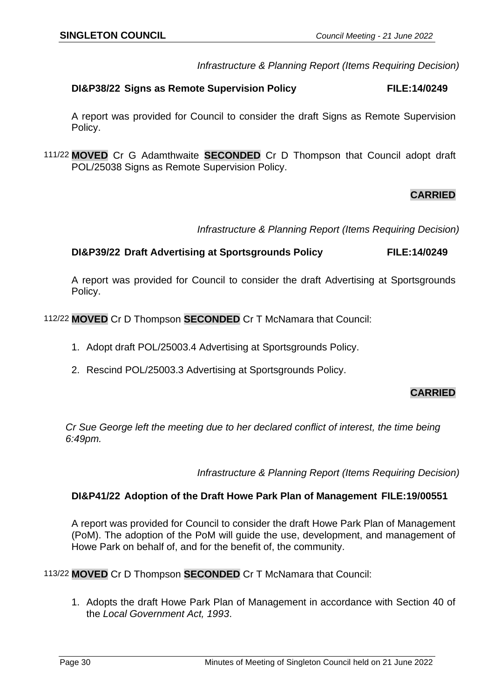*Infrastructure & Planning Report (Items Requiring Decision)*

#### **DI&P38/22 Signs as Remote Supervision Policy FILE:14/0249**

A report was provided for Council to consider the draft Signs as Remote Supervision Policy.

111/22 **MOVED** Cr G Adamthwaite **SECONDED** Cr D Thompson that Council adopt draft POL/25038 Signs as Remote Supervision Policy.

## **CARRIED**

*Infrastructure & Planning Report (Items Requiring Decision)*

#### **DI&P39/22 Draft Advertising at Sportsgrounds Policy FILE:14/0249**

A report was provided for Council to consider the draft Advertising at Sportsgrounds Policy.

112/22 **MOVED** Cr D Thompson **SECONDED** Cr T McNamara that Council:

- 1. Adopt draft POL/25003.4 Advertising at Sportsgrounds Policy.
- 2. Rescind POL/25003.3 Advertising at Sportsgrounds Policy.

## **CARRIED**

*Cr Sue George left the meeting due to her declared conflict of interest, the time being 6:49pm.*

*Infrastructure & Planning Report (Items Requiring Decision)*

#### **DI&P41/22 Adoption of the Draft Howe Park Plan of Management FILE:19/00551**

A report was provided for Council to consider the draft Howe Park Plan of Management (PoM). The adoption of the PoM will guide the use, development, and management of Howe Park on behalf of, and for the benefit of, the community.

113/22 **MOVED** Cr D Thompson **SECONDED** Cr T McNamara that Council:

1. Adopts the draft Howe Park Plan of Management in accordance with Section 40 of the *Local Government Act, 1993*.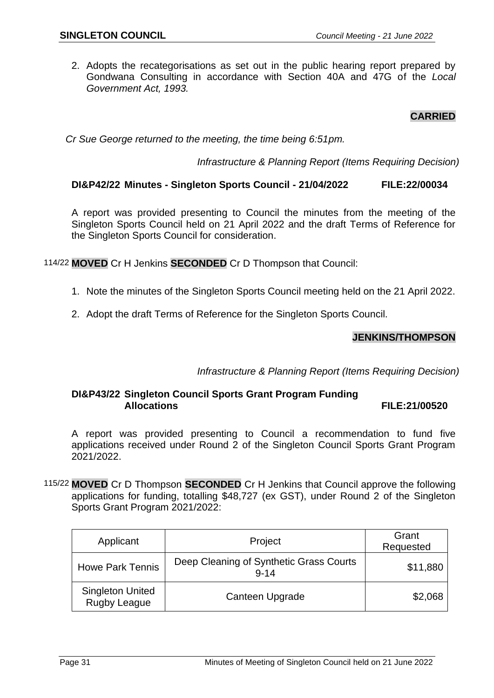2. Adopts the recategorisations as set out in the public hearing report prepared by Gondwana Consulting in accordance with Section 40A and 47G of the *Local Government Act, 1993.*

## **CARRIED**

*Cr Sue George returned to the meeting, the time being 6:51pm.*

*Infrastructure & Planning Report (Items Requiring Decision)*

## **DI&P42/22 Minutes - Singleton Sports Council - 21/04/2022 FILE:22/00034**

A report was provided presenting to Council the minutes from the meeting of the Singleton Sports Council held on 21 April 2022 and the draft Terms of Reference for the Singleton Sports Council for consideration.

114/22 **MOVED** Cr H Jenkins **SECONDED** Cr D Thompson that Council:

- 1. Note the minutes of the Singleton Sports Council meeting held on the 21 April 2022.
- 2. Adopt the draft Terms of Reference for the Singleton Sports Council.

## **JENKINS/THOMPSON**

*Infrastructure & Planning Report (Items Requiring Decision)*

## **DI&P43/22 Singleton Council Sports Grant Program Funding Allocations FILE:21/00520**

A report was provided presenting to Council a recommendation to fund five applications received under Round 2 of the Singleton Council Sports Grant Program 2021/2022.

115/22 **MOVED** Cr D Thompson **SECONDED** Cr H Jenkins that Council approve the following applications for funding, totalling \$48,727 (ex GST), under Round 2 of the Singleton Sports Grant Program 2021/2022:

| Applicant                               | Project                                             | Grant<br>Requested |
|-----------------------------------------|-----------------------------------------------------|--------------------|
| <b>Howe Park Tennis</b>                 | Deep Cleaning of Synthetic Grass Courts<br>$9 - 14$ | \$11,880           |
| <b>Singleton United</b><br>Rugby League | Canteen Upgrade                                     | \$2,068            |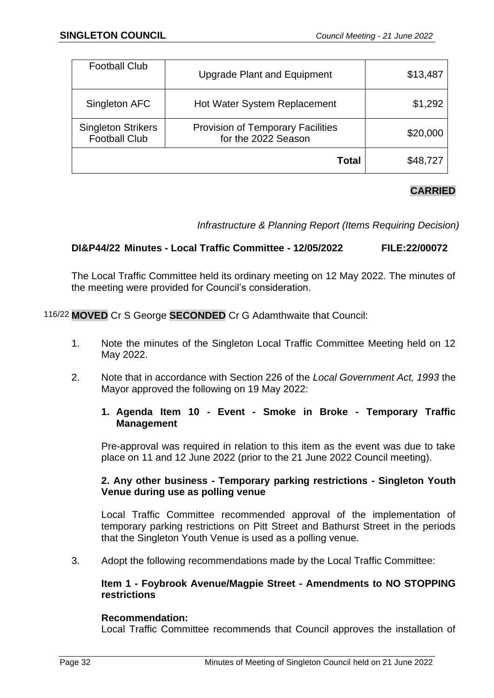|                                                   | Total                                                           | \$48,727 |
|---------------------------------------------------|-----------------------------------------------------------------|----------|
| <b>Singleton Strikers</b><br><b>Football Club</b> | <b>Provision of Temporary Facilities</b><br>for the 2022 Season | \$20,000 |
| Singleton AFC                                     | <b>Hot Water System Replacement</b>                             | \$1,292  |
| <b>Football Club</b>                              | <b>Upgrade Plant and Equipment</b>                              | \$13,487 |

## **CARRIED**

*Infrastructure & Planning Report (Items Requiring Decision)*

## **DI&P44/22 Minutes - Local Traffic Committee - 12/05/2022 FILE:22/00072**

The Local Traffic Committee held its ordinary meeting on 12 May 2022. The minutes of the meeting were provided for Council's consideration.

116/22 **MOVED** Cr S George **SECONDED** Cr G Adamthwaite that Council:

- 1. Note the minutes of the Singleton Local Traffic Committee Meeting held on 12 May 2022.
- 2. Note that in accordance with Section 226 of the *Local Government Act, 1993* the Mayor approved the following on 19 May 2022:

## **1. Agenda Item 10 - Event - Smoke in Broke - Temporary Traffic Management**

Pre-approval was required in relation to this item as the event was due to take place on 11 and 12 June 2022 (prior to the 21 June 2022 Council meeting).

## **2. Any other business - Temporary parking restrictions - Singleton Youth Venue during use as polling venue**

Local Traffic Committee recommended approval of the implementation of temporary parking restrictions on Pitt Street and Bathurst Street in the periods that the Singleton Youth Venue is used as a polling venue.

3. Adopt the following recommendations made by the Local Traffic Committee:

## **Item 1 - Foybrook Avenue/Magpie Street - Amendments to NO STOPPING restrictions**

## **Recommendation:**

Local Traffic Committee recommends that Council approves the installation of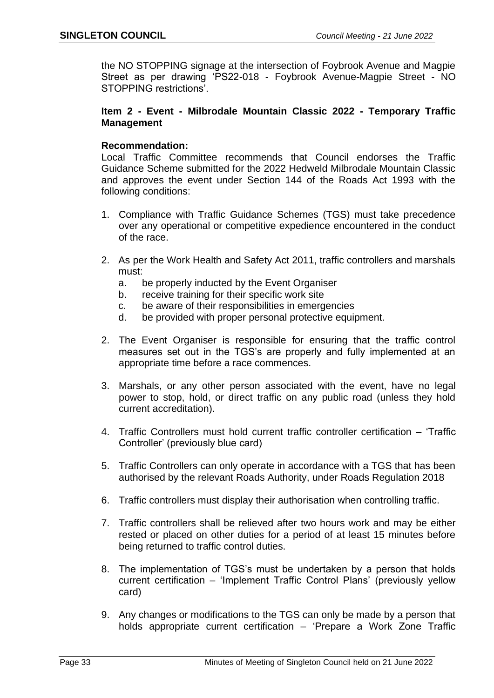the NO STOPPING signage at the intersection of Foybrook Avenue and Magpie Street as per drawing 'PS22-018 - Foybrook Avenue-Magpie Street - NO STOPPING restrictions'.

#### **Item 2 - Event - Milbrodale Mountain Classic 2022 - Temporary Traffic Management**

#### **Recommendation:**

Local Traffic Committee recommends that Council endorses the Traffic Guidance Scheme submitted for the 2022 Hedweld Milbrodale Mountain Classic and approves the event under Section 144 of the Roads Act 1993 with the following conditions:

- 1. Compliance with Traffic Guidance Schemes (TGS) must take precedence over any operational or competitive expedience encountered in the conduct of the race.
- 2. As per the Work Health and Safety Act 2011, traffic controllers and marshals must:
	- a. be properly inducted by the Event Organiser
	- b. receive training for their specific work site
	- c. be aware of their responsibilities in emergencies
	- d. be provided with proper personal protective equipment.
- 2. The Event Organiser is responsible for ensuring that the traffic control measures set out in the TGS's are properly and fully implemented at an appropriate time before a race commences.
- 3. Marshals, or any other person associated with the event, have no legal power to stop, hold, or direct traffic on any public road (unless they hold current accreditation).
- 4. Traffic Controllers must hold current traffic controller certification 'Traffic Controller' (previously blue card)
- 5. Traffic Controllers can only operate in accordance with a TGS that has been authorised by the relevant Roads Authority, under Roads Regulation 2018
- 6. Traffic controllers must display their authorisation when controlling traffic.
- 7. Traffic controllers shall be relieved after two hours work and may be either rested or placed on other duties for a period of at least 15 minutes before being returned to traffic control duties.
- 8. The implementation of TGS's must be undertaken by a person that holds current certification – 'Implement Traffic Control Plans' (previously yellow card)
- 9. Any changes or modifications to the TGS can only be made by a person that holds appropriate current certification – 'Prepare a Work Zone Traffic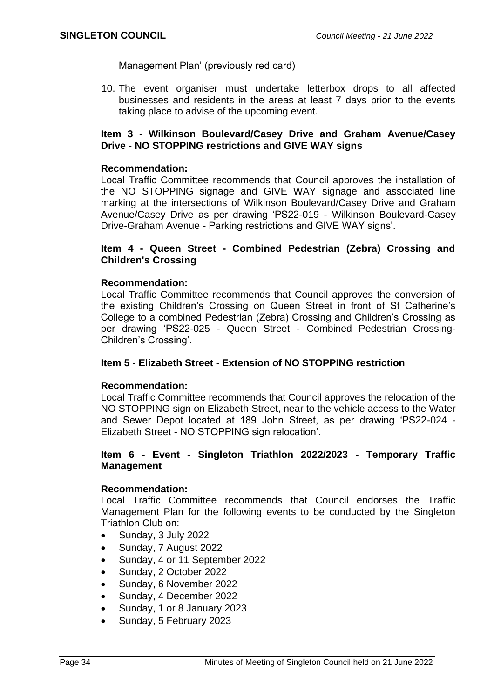Management Plan' (previously red card)

10. The event organiser must undertake letterbox drops to all affected businesses and residents in the areas at least 7 days prior to the events taking place to advise of the upcoming event.

#### **Item 3 - Wilkinson Boulevard/Casey Drive and Graham Avenue/Casey Drive - NO STOPPING restrictions and GIVE WAY signs**

#### **Recommendation:**

Local Traffic Committee recommends that Council approves the installation of the NO STOPPING signage and GIVE WAY signage and associated line marking at the intersections of Wilkinson Boulevard/Casey Drive and Graham Avenue/Casey Drive as per drawing 'PS22-019 - Wilkinson Boulevard-Casey Drive-Graham Avenue - Parking restrictions and GIVE WAY signs'.

#### **Item 4 - Queen Street - Combined Pedestrian (Zebra) Crossing and Children's Crossing**

#### **Recommendation:**

Local Traffic Committee recommends that Council approves the conversion of the existing Children's Crossing on Queen Street in front of St Catherine's College to a combined Pedestrian (Zebra) Crossing and Children's Crossing as per drawing 'PS22-025 - Queen Street - Combined Pedestrian Crossing-Children's Crossing'.

#### **Item 5 - Elizabeth Street - Extension of NO STOPPING restriction**

#### **Recommendation:**

Local Traffic Committee recommends that Council approves the relocation of the NO STOPPING sign on Elizabeth Street, near to the vehicle access to the Water and Sewer Depot located at 189 John Street, as per drawing 'PS22-024 - Elizabeth Street - NO STOPPING sign relocation'.

#### **Item 6 - Event - Singleton Triathlon 2022/2023 - Temporary Traffic Management**

## **Recommendation:**

Local Traffic Committee recommends that Council endorses the Traffic Management Plan for the following events to be conducted by the Singleton Triathlon Club on:

- Sunday, 3 July 2022
- Sunday, 7 August 2022
- Sunday, 4 or 11 September 2022
- Sunday, 2 October 2022
- Sunday, 6 November 2022
- Sunday, 4 December 2022
- Sunday, 1 or 8 January 2023
- Sunday, 5 February 2023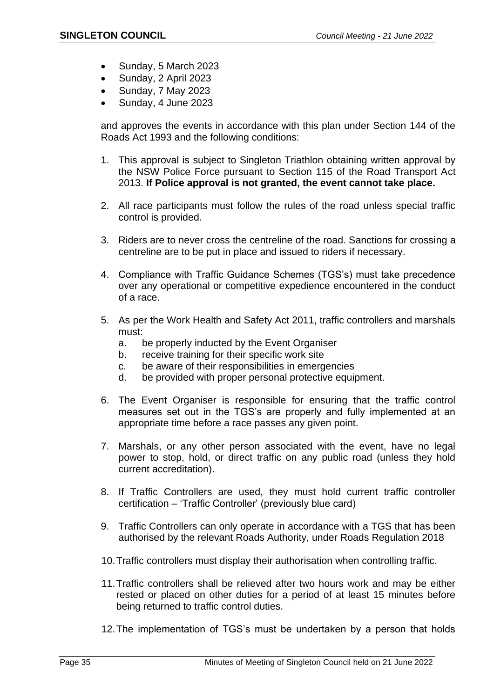- Sunday, 5 March 2023
- Sunday, 2 April 2023
- Sunday, 7 May 2023
- Sunday, 4 June 2023

and approves the events in accordance with this plan under Section 144 of the Roads Act 1993 and the following conditions:

- 1. This approval is subject to Singleton Triathlon obtaining written approval by the NSW Police Force pursuant to Section 115 of the Road Transport Act 2013. **If Police approval is not granted, the event cannot take place.**
- 2. All race participants must follow the rules of the road unless special traffic control is provided.
- 3. Riders are to never cross the centreline of the road. Sanctions for crossing a centreline are to be put in place and issued to riders if necessary.
- 4. Compliance with Traffic Guidance Schemes (TGS's) must take precedence over any operational or competitive expedience encountered in the conduct of a race.
- 5. As per the Work Health and Safety Act 2011, traffic controllers and marshals must:
	- a. be properly inducted by the Event Organiser
	- b. receive training for their specific work site
	- c. be aware of their responsibilities in emergencies
	- d. be provided with proper personal protective equipment.
- 6. The Event Organiser is responsible for ensuring that the traffic control measures set out in the TGS's are properly and fully implemented at an appropriate time before a race passes any given point.
- 7. Marshals, or any other person associated with the event, have no legal power to stop, hold, or direct traffic on any public road (unless they hold current accreditation).
- 8. If Traffic Controllers are used, they must hold current traffic controller certification – 'Traffic Controller' (previously blue card)
- 9. Traffic Controllers can only operate in accordance with a TGS that has been authorised by the relevant Roads Authority, under Roads Regulation 2018
- 10.Traffic controllers must display their authorisation when controlling traffic.
- 11.Traffic controllers shall be relieved after two hours work and may be either rested or placed on other duties for a period of at least 15 minutes before being returned to traffic control duties.
- 12.The implementation of TGS's must be undertaken by a person that holds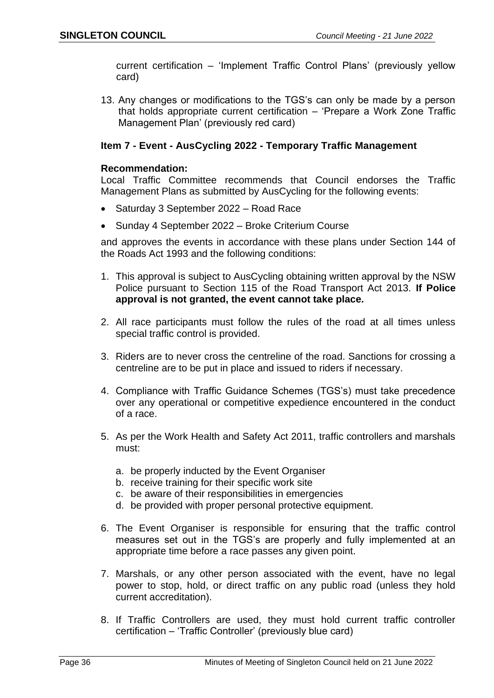current certification – 'Implement Traffic Control Plans' (previously yellow card)

13. Any changes or modifications to the TGS's can only be made by a person that holds appropriate current certification – 'Prepare a Work Zone Traffic Management Plan' (previously red card)

## **Item 7 - Event - AusCycling 2022 - Temporary Traffic Management**

#### **Recommendation:**

Local Traffic Committee recommends that Council endorses the Traffic Management Plans as submitted by AusCycling for the following events:

- Saturday 3 September 2022 Road Race
- Sunday 4 September 2022 Broke Criterium Course

and approves the events in accordance with these plans under Section 144 of the Roads Act 1993 and the following conditions:

- 1. This approval is subject to AusCycling obtaining written approval by the NSW Police pursuant to Section 115 of the Road Transport Act 2013. **If Police approval is not granted, the event cannot take place.**
- 2. All race participants must follow the rules of the road at all times unless special traffic control is provided.
- 3. Riders are to never cross the centreline of the road. Sanctions for crossing a centreline are to be put in place and issued to riders if necessary.
- 4. Compliance with Traffic Guidance Schemes (TGS's) must take precedence over any operational or competitive expedience encountered in the conduct of a race.
- 5. As per the Work Health and Safety Act 2011, traffic controllers and marshals must:
	- a. be properly inducted by the Event Organiser
	- b. receive training for their specific work site
	- c. be aware of their responsibilities in emergencies
	- d. be provided with proper personal protective equipment.
- 6. The Event Organiser is responsible for ensuring that the traffic control measures set out in the TGS's are properly and fully implemented at an appropriate time before a race passes any given point.
- 7. Marshals, or any other person associated with the event, have no legal power to stop, hold, or direct traffic on any public road (unless they hold current accreditation).
- 8. If Traffic Controllers are used, they must hold current traffic controller certification – 'Traffic Controller' (previously blue card)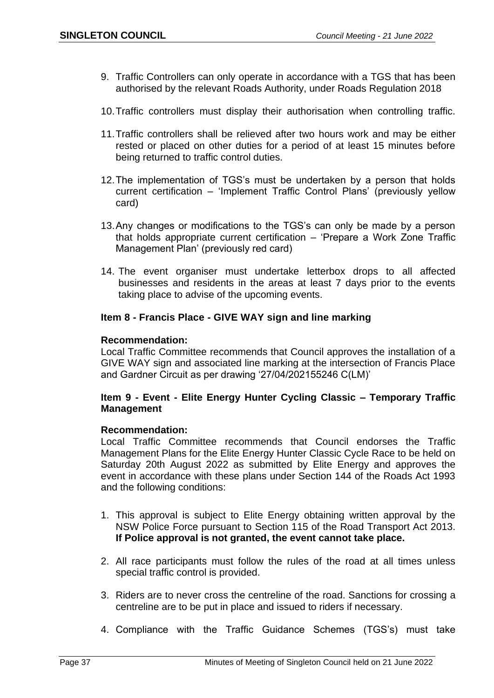- 9. Traffic Controllers can only operate in accordance with a TGS that has been authorised by the relevant Roads Authority, under Roads Regulation 2018
- 10.Traffic controllers must display their authorisation when controlling traffic.
- 11.Traffic controllers shall be relieved after two hours work and may be either rested or placed on other duties for a period of at least 15 minutes before being returned to traffic control duties.
- 12.The implementation of TGS's must be undertaken by a person that holds current certification – 'Implement Traffic Control Plans' (previously yellow card)
- 13.Any changes or modifications to the TGS's can only be made by a person that holds appropriate current certification – 'Prepare a Work Zone Traffic Management Plan' (previously red card)
- 14. The event organiser must undertake letterbox drops to all affected businesses and residents in the areas at least 7 days prior to the events taking place to advise of the upcoming events.

#### **Item 8 - Francis Place - GIVE WAY sign and line marking**

#### **Recommendation:**

Local Traffic Committee recommends that Council approves the installation of a GIVE WAY sign and associated line marking at the intersection of Francis Place and Gardner Circuit as per drawing '27/04/202155246 C(LM)'

#### **Item 9 - Event - Elite Energy Hunter Cycling Classic – Temporary Traffic Management**

#### **Recommendation:**

Local Traffic Committee recommends that Council endorses the Traffic Management Plans for the Elite Energy Hunter Classic Cycle Race to be held on Saturday 20th August 2022 as submitted by Elite Energy and approves the event in accordance with these plans under Section 144 of the Roads Act 1993 and the following conditions:

- 1. This approval is subject to Elite Energy obtaining written approval by the NSW Police Force pursuant to Section 115 of the Road Transport Act 2013. **If Police approval is not granted, the event cannot take place.**
- 2. All race participants must follow the rules of the road at all times unless special traffic control is provided.
- 3. Riders are to never cross the centreline of the road. Sanctions for crossing a centreline are to be put in place and issued to riders if necessary.
- 4. Compliance with the Traffic Guidance Schemes (TGS's) must take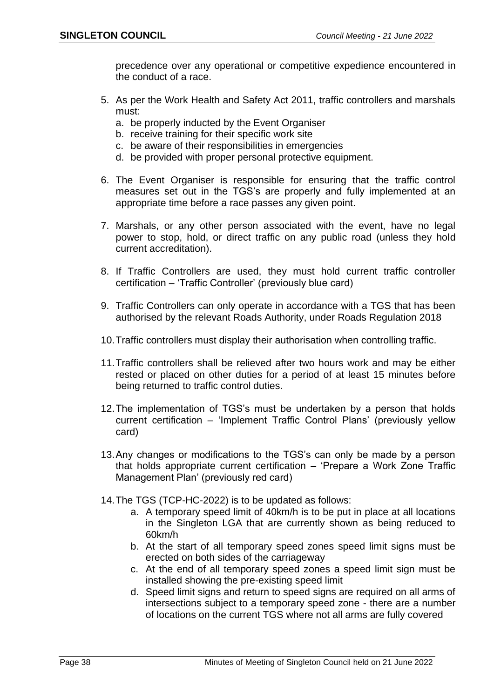precedence over any operational or competitive expedience encountered in the conduct of a race.

- 5. As per the Work Health and Safety Act 2011, traffic controllers and marshals must:
	- a. be properly inducted by the Event Organiser
	- b. receive training for their specific work site
	- c. be aware of their responsibilities in emergencies
	- d. be provided with proper personal protective equipment.
- 6. The Event Organiser is responsible for ensuring that the traffic control measures set out in the TGS's are properly and fully implemented at an appropriate time before a race passes any given point.
- 7. Marshals, or any other person associated with the event, have no legal power to stop, hold, or direct traffic on any public road (unless they hold current accreditation).
- 8. If Traffic Controllers are used, they must hold current traffic controller certification – 'Traffic Controller' (previously blue card)
- 9. Traffic Controllers can only operate in accordance with a TGS that has been authorised by the relevant Roads Authority, under Roads Regulation 2018
- 10.Traffic controllers must display their authorisation when controlling traffic.
- 11.Traffic controllers shall be relieved after two hours work and may be either rested or placed on other duties for a period of at least 15 minutes before being returned to traffic control duties.
- 12.The implementation of TGS's must be undertaken by a person that holds current certification – 'Implement Traffic Control Plans' (previously yellow card)
- 13.Any changes or modifications to the TGS's can only be made by a person that holds appropriate current certification – 'Prepare a Work Zone Traffic Management Plan' (previously red card)
- 14.The TGS (TCP-HC-2022) is to be updated as follows:
	- a. A temporary speed limit of 40km/h is to be put in place at all locations in the Singleton LGA that are currently shown as being reduced to 60km/h
	- b. At the start of all temporary speed zones speed limit signs must be erected on both sides of the carriageway
	- c. At the end of all temporary speed zones a speed limit sign must be installed showing the pre-existing speed limit
	- d. Speed limit signs and return to speed signs are required on all arms of intersections subject to a temporary speed zone - there are a number of locations on the current TGS where not all arms are fully covered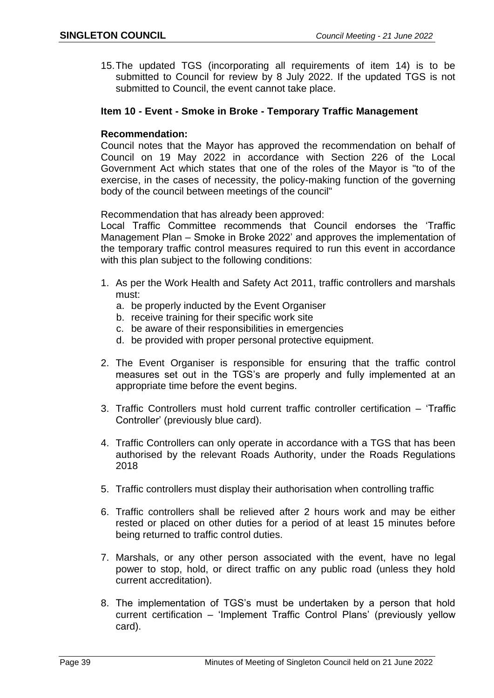15.The updated TGS (incorporating all requirements of item 14) is to be submitted to Council for review by 8 July 2022. If the updated TGS is not submitted to Council, the event cannot take place.

#### **Item 10 - Event - Smoke in Broke - Temporary Traffic Management**

#### **Recommendation:**

Council notes that the Mayor has approved the recommendation on behalf of Council on 19 May 2022 in accordance with Section 226 of the Local Government Act which states that one of the roles of the Mayor is "to of the exercise, in the cases of necessity, the policy-making function of the governing body of the council between meetings of the council"

Recommendation that has already been approved:

Local Traffic Committee recommends that Council endorses the 'Traffic Management Plan – Smoke in Broke 2022' and approves the implementation of the temporary traffic control measures required to run this event in accordance with this plan subject to the following conditions:

- 1. As per the Work Health and Safety Act 2011, traffic controllers and marshals must:
	- a. be properly inducted by the Event Organiser
	- b. receive training for their specific work site
	- c. be aware of their responsibilities in emergencies
	- d. be provided with proper personal protective equipment.
- 2. The Event Organiser is responsible for ensuring that the traffic control measures set out in the TGS's are properly and fully implemented at an appropriate time before the event begins.
- 3. Traffic Controllers must hold current traffic controller certification 'Traffic Controller' (previously blue card).
- 4. Traffic Controllers can only operate in accordance with a TGS that has been authorised by the relevant Roads Authority, under the Roads Regulations 2018
- 5. Traffic controllers must display their authorisation when controlling traffic
- 6. Traffic controllers shall be relieved after 2 hours work and may be either rested or placed on other duties for a period of at least 15 minutes before being returned to traffic control duties.
- 7. Marshals, or any other person associated with the event, have no legal power to stop, hold, or direct traffic on any public road (unless they hold current accreditation).
- 8. The implementation of TGS's must be undertaken by a person that hold current certification – 'Implement Traffic Control Plans' (previously yellow card).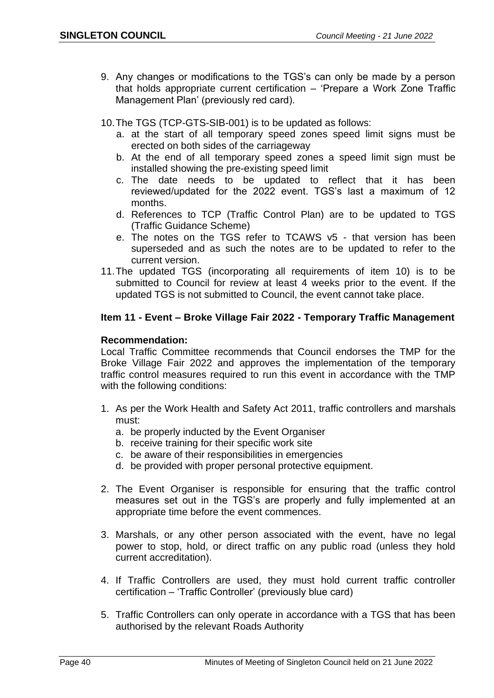- 9. Any changes or modifications to the TGS's can only be made by a person that holds appropriate current certification – 'Prepare a Work Zone Traffic Management Plan' (previously red card).
- 10.The TGS (TCP-GTS-SIB-001) is to be updated as follows:
	- a. at the start of all temporary speed zones speed limit signs must be erected on both sides of the carriageway
	- b. At the end of all temporary speed zones a speed limit sign must be installed showing the pre-existing speed limit
	- c. The date needs to be updated to reflect that it has been reviewed/updated for the 2022 event. TGS's last a maximum of 12 months.
	- d. References to TCP (Traffic Control Plan) are to be updated to TGS (Traffic Guidance Scheme)
	- e. The notes on the TGS refer to TCAWS v5 that version has been superseded and as such the notes are to be updated to refer to the current version.
- 11.The updated TGS (incorporating all requirements of item 10) is to be submitted to Council for review at least 4 weeks prior to the event. If the updated TGS is not submitted to Council, the event cannot take place.

## **Item 11 - Event – Broke Village Fair 2022 - Temporary Traffic Management**

## **Recommendation:**

Local Traffic Committee recommends that Council endorses the TMP for the Broke Village Fair 2022 and approves the implementation of the temporary traffic control measures required to run this event in accordance with the TMP with the following conditions:

- 1. As per the Work Health and Safety Act 2011, traffic controllers and marshals must:
	- a. be properly inducted by the Event Organiser
	- b. receive training for their specific work site
	- c. be aware of their responsibilities in emergencies
	- d. be provided with proper personal protective equipment.
- 2. The Event Organiser is responsible for ensuring that the traffic control measures set out in the TGS's are properly and fully implemented at an appropriate time before the event commences.
- 3. Marshals, or any other person associated with the event, have no legal power to stop, hold, or direct traffic on any public road (unless they hold current accreditation).
- 4. If Traffic Controllers are used, they must hold current traffic controller certification – 'Traffic Controller' (previously blue card)
- 5. Traffic Controllers can only operate in accordance with a TGS that has been authorised by the relevant Roads Authority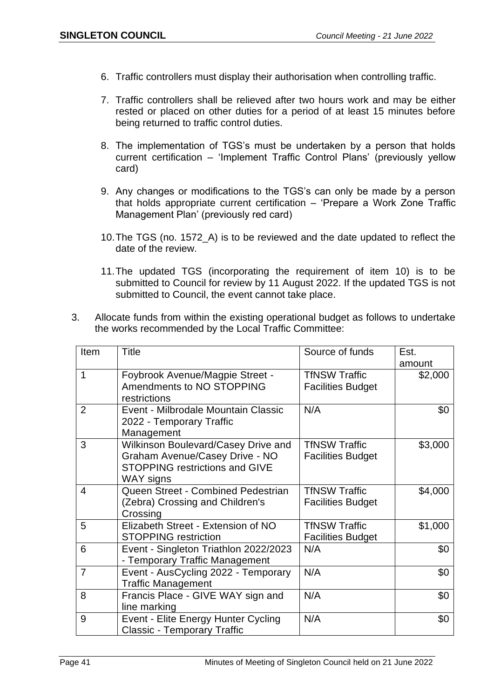- 6. Traffic controllers must display their authorisation when controlling traffic.
- 7. Traffic controllers shall be relieved after two hours work and may be either rested or placed on other duties for a period of at least 15 minutes before being returned to traffic control duties.
- 8. The implementation of TGS's must be undertaken by a person that holds current certification – 'Implement Traffic Control Plans' (previously yellow card)
- 9. Any changes or modifications to the TGS's can only be made by a person that holds appropriate current certification – 'Prepare a Work Zone Traffic Management Plan' (previously red card)
- 10.The TGS (no. 1572\_A) is to be reviewed and the date updated to reflect the date of the review.
- 11.The updated TGS (incorporating the requirement of item 10) is to be submitted to Council for review by 11 August 2022. If the updated TGS is not submitted to Council, the event cannot take place.
- 3. Allocate funds from within the existing operational budget as follows to undertake the works recommended by the Local Traffic Committee:

| Item           | <b>Title</b>                                                                                                                | Source of funds                                  | Est.<br>amount |
|----------------|-----------------------------------------------------------------------------------------------------------------------------|--------------------------------------------------|----------------|
| $\mathbf 1$    | Foybrook Avenue/Magpie Street -<br>Amendments to NO STOPPING<br>restrictions                                                | <b>TfNSW Traffic</b><br><b>Facilities Budget</b> | \$2,000        |
| $\overline{2}$ | Event - Milbrodale Mountain Classic<br>2022 - Temporary Traffic<br>Management                                               | N/A                                              | \$0            |
| 3              | Wilkinson Boulevard/Casey Drive and<br>Graham Avenue/Casey Drive - NO<br><b>STOPPING restrictions and GIVE</b><br>WAY signs | <b>TfNSW Traffic</b><br><b>Facilities Budget</b> | \$3,000        |
| $\overline{4}$ | Queen Street - Combined Pedestrian<br>(Zebra) Crossing and Children's<br>Crossing                                           | <b>TfNSW Traffic</b><br><b>Facilities Budget</b> | \$4,000        |
| 5              | Elizabeth Street - Extension of NO<br><b>STOPPING restriction</b>                                                           | <b>TfNSW Traffic</b><br><b>Facilities Budget</b> | \$1,000        |
| 6              | Event - Singleton Triathlon 2022/2023<br>- Temporary Traffic Management                                                     | N/A                                              | \$0            |
| $\overline{7}$ | Event - AusCycling 2022 - Temporary<br><b>Traffic Management</b>                                                            | N/A                                              | \$0            |
| 8              | Francis Place - GIVE WAY sign and<br>line marking                                                                           | N/A                                              | \$0            |
| 9              | Event - Elite Energy Hunter Cycling<br><b>Classic - Temporary Traffic</b>                                                   | N/A                                              | \$0            |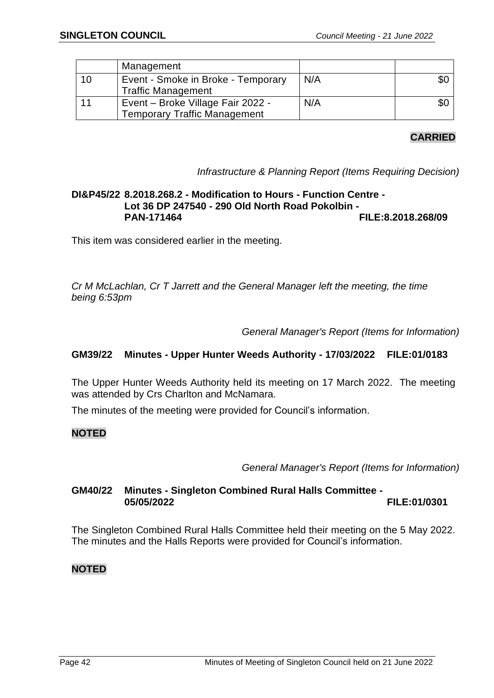|    | Management                                                               |     |     |
|----|--------------------------------------------------------------------------|-----|-----|
| 10 | Event - Smoke in Broke - Temporary<br><b>Traffic Management</b>          | N/A | \$0 |
| 11 | Event – Broke Village Fair 2022 -<br><b>Temporary Traffic Management</b> | N/A | \$0 |

## **CARRIED**

*Infrastructure & Planning Report (Items Requiring Decision)*

## **DI&P45/22 8.2018.268.2 - Modification to Hours - Function Centre - Lot 36 DP 247540 - 290 Old North Road Pokolbin - PAN-171464 FILE:8.2018.268/09**

This item was considered earlier in the meeting.

*Cr M McLachlan, Cr T Jarrett and the General Manager left the meeting, the time being 6:53pm*

*General Manager's Report (Items for Information)*

## **GM39/22 Minutes - Upper Hunter Weeds Authority - 17/03/2022 FILE:01/0183**

The Upper Hunter Weeds Authority held its meeting on 17 March 2022. The meeting was attended by Crs Charlton and McNamara.

The minutes of the meeting were provided for Council's information.

## **NOTED**

*General Manager's Report (Items for Information)*

## **GM40/22 Minutes - Singleton Combined Rural Halls Committee - 05/05/2022 FILE:01/0301**

The Singleton Combined Rural Halls Committee held their meeting on the 5 May 2022. The minutes and the Halls Reports were provided for Council's information.

## **NOTED**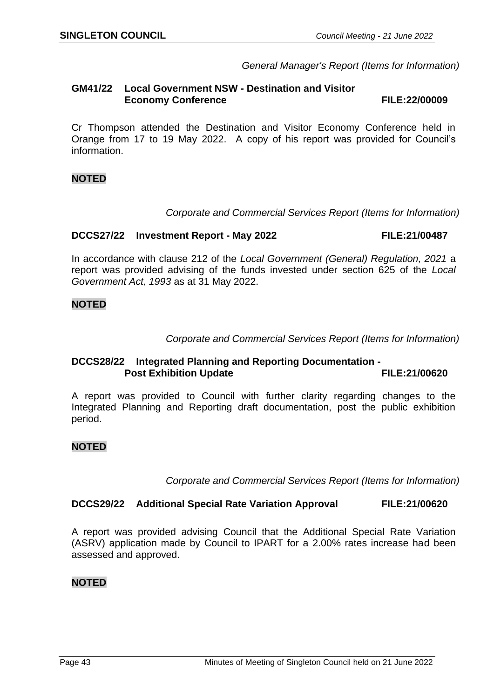*General Manager's Report (Items for Information)*

#### **GM41/22 Local Government NSW - Destination and Visitor Economy Conference FILE:22/00009**

Cr Thompson attended the Destination and Visitor Economy Conference held in Orange from 17 to 19 May 2022. A copy of his report was provided for Council's information.

## **NOTED**

*Corporate and Commercial Services Report (Items for Information)*

#### **DCCS27/22 Investment Report - May 2022 FILE:21/00487**

In accordance with clause 212 of the *Local Government (General) Regulation, 2021* a report was provided advising of the funds invested under section 625 of the *Local Government Act, 1993* as at 31 May 2022.

## **NOTED**

*Corporate and Commercial Services Report (Items for Information)*

## **DCCS28/22 Integrated Planning and Reporting Documentation - Post Exhibition Update FILE:21/00620**

A report was provided to Council with further clarity regarding changes to the Integrated Planning and Reporting draft documentation, post the public exhibition period.

## **NOTED**

*Corporate and Commercial Services Report (Items for Information)*

## **DCCS29/22 Additional Special Rate Variation Approval FILE:21/00620**

A report was provided advising Council that the Additional Special Rate Variation (ASRV) application made by Council to IPART for a 2.00% rates increase had been assessed and approved.

## **NOTED**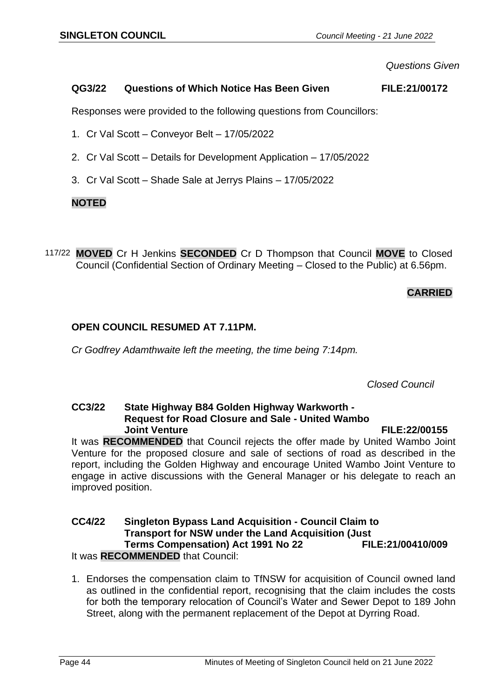*Questions Given*

## **QG3/22 Questions of Which Notice Has Been Given FILE:21/00172**

Responses were provided to the following questions from Councillors:

- 1. Cr Val Scott Conveyor Belt 17/05/2022
- 2. Cr Val Scott Details for Development Application 17/05/2022
- 3. Cr Val Scott Shade Sale at Jerrys Plains 17/05/2022

## **NOTED**

117/22 **MOVED** Cr H Jenkins **SECONDED** Cr D Thompson that Council **MOVE** to Closed Council (Confidential Section of Ordinary Meeting – Closed to the Public) at 6.56pm.

## **CARRIED**

## **OPEN COUNCIL RESUMED AT 7.11PM.**

*Cr Godfrey Adamthwaite left the meeting, the time being 7:14pm.*

*Closed Council*

## **CC3/22 State Highway B84 Golden Highway Warkworth - Request for Road Closure and Sale - United Wambo Joint Venture FILE:22/00155**

It was **RECOMMENDED** that Council rejects the offer made by United Wambo Joint Venture for the proposed closure and sale of sections of road as described in the report, including the Golden Highway and encourage United Wambo Joint Venture to engage in active discussions with the General Manager or his delegate to reach an improved position.

#### **CC4/22 Singleton Bypass Land Acquisition - Council Claim to Transport for NSW under the Land Acquisition (Just Terms Compensation) Act 1991 No 22 FILE:21/00410/009** It was **RECOMMENDED** that Council:

1. Endorses the compensation claim to TfNSW for acquisition of Council owned land as outlined in the confidential report, recognising that the claim includes the costs for both the temporary relocation of Council's Water and Sewer Depot to 189 John Street, along with the permanent replacement of the Depot at Dyrring Road.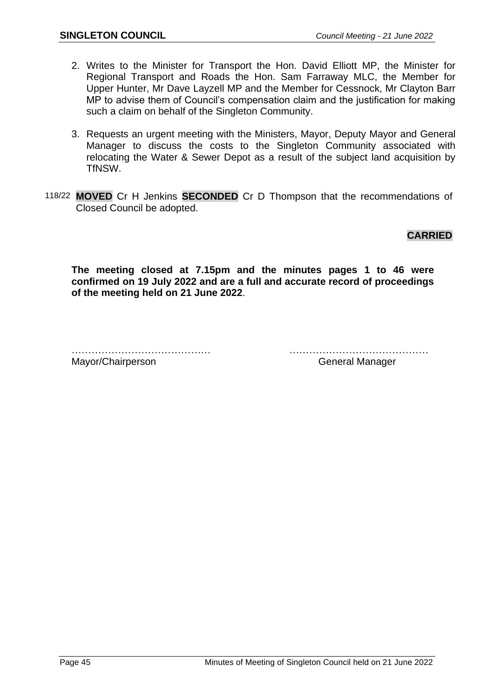- 2. Writes to the Minister for Transport the Hon. David Elliott MP, the Minister for Regional Transport and Roads the Hon. Sam Farraway MLC, the Member for Upper Hunter, Mr Dave Layzell MP and the Member for Cessnock, Mr Clayton Barr MP to advise them of Council's compensation claim and the justification for making such a claim on behalf of the Singleton Community.
- 3. Requests an urgent meeting with the Ministers, Mayor, Deputy Mayor and General Manager to discuss the costs to the Singleton Community associated with relocating the Water & Sewer Depot as a result of the subject land acquisition by TfNSW.
- 118/22 **MOVED** Cr H Jenkins **SECONDED** Cr D Thompson that the recommendations of Closed Council be adopted.

**CARRIED**

**The meeting closed at 7.15pm and the minutes pages 1 to 46 were confirmed on 19 July 2022 and are a full and accurate record of proceedings of the meeting held on 21 June 2022**.

…………………………………… ……………………………………

Mayor/Chairperson General Manager